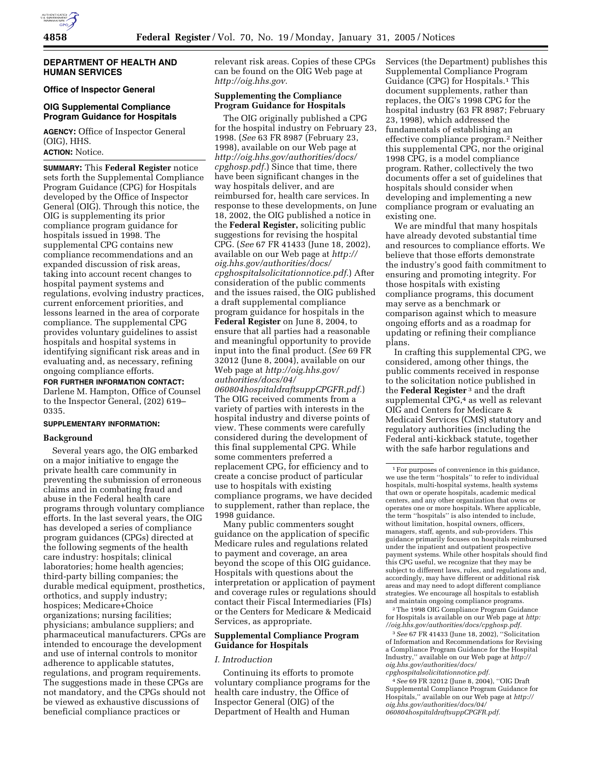# **DEPARTMENT OF HEALTH AND HUMAN SERVICES**

# **Office of Inspector General**

# **OIG Supplemental Compliance Program Guidance for Hospitals**

**AGENCY:** Office of Inspector General (OIG), HHS. **ACTION:** Notice.

**SUMMARY:** This **Federal Register** notice sets forth the Supplemental Compliance Program Guidance (CPG) for Hospitals developed by the Office of Inspector General (OIG). Through this notice, the OIG is supplementing its prior compliance program guidance for hospitals issued in 1998. The supplemental CPG contains new compliance recommendations and an expanded discussion of risk areas, taking into account recent changes to hospital payment systems and regulations, evolving industry practices, current enforcement priorities, and lessons learned in the area of corporate compliance. The supplemental CPG provides voluntary guidelines to assist hospitals and hospital systems in identifying significant risk areas and in evaluating and, as necessary, refining ongoing compliance efforts.

# **FOR FURTHER INFORMATION CONTACT:** Darlene M. Hampton, Office of Counsel to the Inspector General, (202) 619– 0335.

## **SUPPLEMENTARY INFORMATION:**

#### **Background**

Several years ago, the OIG embarked on a major initiative to engage the private health care community in preventing the submission of erroneous claims and in combating fraud and abuse in the Federal health care programs through voluntary compliance efforts. In the last several years, the OIG has developed a series of compliance program guidances (CPGs) directed at the following segments of the health care industry: hospitals; clinical laboratories; home health agencies; third-party billing companies; the durable medical equipment, prosthetics, orthotics, and supply industry; hospices; Medicare+Choice organizations; nursing facilities; physicians; ambulance suppliers; and pharmaceutical manufacturers. CPGs are intended to encourage the development and use of internal controls to monitor adherence to applicable statutes, regulations, and program requirements. The suggestions made in these CPGs are not mandatory, and the CPGs should not be viewed as exhaustive discussions of beneficial compliance practices or

relevant risk areas. Copies of these CPGs can be found on the OIG Web page at *http://oig.hhs.gov.*

# **Supplementing the Compliance Program Guidance for Hospitals**

The OIG originally published a CPG for the hospital industry on February 23, 1998. (*See* 63 FR 8987 (February 23, 1998), available on our Web page at *http://oig.hhs.gov/authorities/docs/ cpghosp.pdf.*) Since that time, there have been significant changes in the way hospitals deliver, and are reimbursed for, health care services. In response to these developments, on June 18, 2002, the OIG published a notice in the **Federal Register,** soliciting public suggestions for revising the hospital CPG. (*See* 67 FR 41433 (June 18, 2002), available on our Web page at *http:// oig.hhs.gov/authorities/docs/ cpghospitalsolicitationnotice.pdf.*) After consideration of the public comments and the issues raised, the OIG published a draft supplemental compliance program guidance for hospitals in the **Federal Register** on June 8, 2004, to ensure that all parties had a reasonable and meaningful opportunity to provide input into the final product. (*See* 69 FR 32012 (June 8, 2004), available on our Web page at *http://oig.hhs.gov/ authorities/docs/04/*

*060804hospitaldraftsuppCPGFR.pdf.*) The OIG received comments from a variety of parties with interests in the hospital industry and diverse points of view. These comments were carefully considered during the development of this final supplemental CPG. While some commenters preferred a replacement CPG, for efficiency and to create a concise product of particular use to hospitals with existing compliance programs, we have decided to supplement, rather than replace, the 1998 guidance.

Many public commenters sought guidance on the application of specific Medicare rules and regulations related to payment and coverage, an area beyond the scope of this OIG guidance. Hospitals with questions about the interpretation or application of payment and coverage rules or regulations should contact their Fiscal Intermediaries (FIs) or the Centers for Medicare & Medicaid Services, as appropriate.

# **Supplemental Compliance Program Guidance for Hospitals**

## *I. Introduction*

Continuing its efforts to promote voluntary compliance programs for the health care industry, the Office of Inspector General (OIG) of the Department of Health and Human

Services (the Department) publishes this Supplemental Compliance Program Guidance (CPG) for Hospitals.1 This document supplements, rather than replaces, the OIG's 1998 CPG for the hospital industry (63 FR 8987; February 23, 1998), which addressed the fundamentals of establishing an effective compliance program.2 Neither this supplemental CPG, nor the original 1998 CPG, is a model compliance program. Rather, collectively the two documents offer a set of guidelines that hospitals should consider when developing and implementing a new compliance program or evaluating an existing one.

We are mindful that many hospitals have already devoted substantial time and resources to compliance efforts. We believe that those efforts demonstrate the industry's good faith commitment to ensuring and promoting integrity. For those hospitals with existing compliance programs, this document may serve as a benchmark or comparison against which to measure ongoing efforts and as a roadmap for updating or refining their compliance plans.

In crafting this supplemental CPG, we considered, among other things, the public comments received in response to the solicitation notice published in the **Federal Register** 3 and the draft supplemental CPG,4 as well as relevant OIG and Centers for Medicare & Medicaid Services (CMS) statutory and regulatory authorities (including the Federal anti-kickback statute, together with the safe harbor regulations and

2The 1998 OIG Compliance Program Guidance for Hospitals is available on our Web page at *http: //oig.hhs.gov/authorities/docs/cpghosp.pdf.*

3*See* 67 FR 41433 (June 18, 2002), ''Solicitation of Information and Recommendations for Revising a Compliance Program Guidance for the Hospital Industry,'' available on our Web page at *http:// oig.hhs.gov/authorities/docs/ cpghospitalsolicitationnotice.pdf.*

4*See* 69 FR 32012 (June 8, 2004), ''OIG Draft Supplemental Compliance Program Guidance for Hospitals,'' available on our Web page at *http:// oig.hhs.gov/authorities/docs/04/ 060804hospitaldraftsuppCPGFR.pdf.*

<sup>1</sup>For purposes of convenience in this guidance, we use the term ''hospitals'' to refer to individual hospitals, multi-hospital systems, health systems that own or operate hospitals, academic medical centers, and any other organization that owns or operates one or more hospitals. Where applicable, the term ''hospitals'' is also intended to include, without limitation, hospital owners, officers, managers, staff, agents, and sub-providers. This guidance primarily focuses on hospitals reimbursed under the inpatient and outpatient prospective payment systems. While other hospitals should find this CPG useful, we recognize that they may be subject to different laws, rules, and regulations and, accordingly, may have different or additional risk areas and may need to adopt different compliance strategies. We encourage all hospitals to establish and maintain ongoing compliance programs.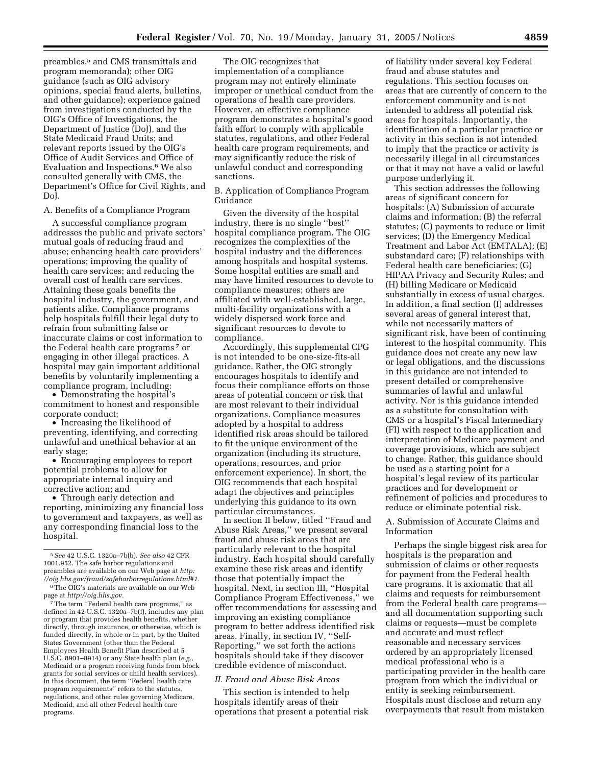preambles,5 and CMS transmittals and program memoranda); other OIG guidance (such as OIG advisory opinions, special fraud alerts, bulletins, and other guidance); experience gained from investigations conducted by the OIG's Office of Investigations, the Department of Justice (DoJ), and the State Medicaid Fraud Units; and relevant reports issued by the OIG's Office of Audit Services and Office of Evaluation and Inspections.6 We also consulted generally with CMS, the Department's Office for Civil Rights, and DoJ.

## A. Benefits of a Compliance Program

A successful compliance program addresses the public and private sectors' mutual goals of reducing fraud and abuse; enhancing health care providers' operations; improving the quality of health care services; and reducing the overall cost of health care services. Attaining these goals benefits the hospital industry, the government, and patients alike. Compliance programs help hospitals fulfill their legal duty to refrain from submitting false or inaccurate claims or cost information to the Federal health care programs 7 or engaging in other illegal practices. A hospital may gain important additional benefits by voluntarily implementing a compliance program, including:

• Demonstrating the hospital's commitment to honest and responsible corporate conduct;

• Increasing the likelihood of preventing, identifying, and correcting unlawful and unethical behavior at an early stage;

• Encouraging employees to report potential problems to allow for appropriate internal inquiry and corrective action; and

• Through early detection and reporting, minimizing any financial loss to government and taxpayers, as well as any corresponding financial loss to the hospital.

 $\bar{7}$  The term ''Federal health care programs,'' as defined in 42 U.S.C. 1320a–7b(f), includes any plan or program that provides health benefits, whether directly, through insurance, or otherwise, which is funded directly, in whole or in part, by the United States Government (other than the Federal Employees Health Benefit Plan described at 5 U.S.C. 8901–8914) or any State health plan (*e.g.,* Medicaid or a program receiving funds from block grants for social services or child health services). In this document, the term ''Federal health care program requirements'' refers to the statutes, regulations, and other rules governing Medicare, Medicaid, and all other Federal health care programs.

The OIG recognizes that implementation of a compliance program may not entirely eliminate improper or unethical conduct from the operations of health care providers. However, an effective compliance program demonstrates a hospital's good faith effort to comply with applicable statutes, regulations, and other Federal health care program requirements, and may significantly reduce the risk of unlawful conduct and corresponding sanctions.

B. Application of Compliance Program Guidance

Given the diversity of the hospital industry, there is no single ''best'' hospital compliance program. The OIG recognizes the complexities of the hospital industry and the differences among hospitals and hospital systems. Some hospital entities are small and may have limited resources to devote to compliance measures; others are affiliated with well-established, large, multi-facility organizations with a widely dispersed work force and significant resources to devote to compliance.

Accordingly, this supplemental CPG is not intended to be one-size-fits-all guidance. Rather, the OIG strongly encourages hospitals to identify and focus their compliance efforts on those areas of potential concern or risk that are most relevant to their individual organizations. Compliance measures adopted by a hospital to address identified risk areas should be tailored to fit the unique environment of the organization (including its structure, operations, resources, and prior enforcement experience). In short, the OIG recommends that each hospital adapt the objectives and principles underlying this guidance to its own particular circumstances.

In section II below, titled ''Fraud and Abuse Risk Areas,'' we present several fraud and abuse risk areas that are particularly relevant to the hospital industry. Each hospital should carefully examine these risk areas and identify those that potentially impact the hospital. Next, in section III, ''Hospital Compliance Program Effectiveness,'' we offer recommendations for assessing and improving an existing compliance program to better address identified risk areas. Finally, in section IV, ''Self-Reporting,'' we set forth the actions hospitals should take if they discover credible evidence of misconduct.

# *II. Fraud and Abuse Risk Areas*

This section is intended to help hospitals identify areas of their operations that present a potential risk

of liability under several key Federal fraud and abuse statutes and regulations. This section focuses on areas that are currently of concern to the enforcement community and is not intended to address all potential risk areas for hospitals. Importantly, the identification of a particular practice or activity in this section is not intended to imply that the practice or activity is necessarily illegal in all circumstances or that it may not have a valid or lawful purpose underlying it.

This section addresses the following areas of significant concern for hospitals: (A) Submission of accurate claims and information; (B) the referral statutes; (C) payments to reduce or limit services; (D) the Emergency Medical Treatment and Labor Act (EMTALA); (E) substandard care; (F) relationships with Federal health care beneficiaries; (G) HIPAA Privacy and Security Rules; and (H) billing Medicare or Medicaid substantially in excess of usual charges. In addition, a final section (I) addresses several areas of general interest that, while not necessarily matters of significant risk, have been of continuing interest to the hospital community. This guidance does not create any new law or legal obligations, and the discussions in this guidance are not intended to present detailed or comprehensive summaries of lawful and unlawful activity. Nor is this guidance intended as a substitute for consultation with CMS or a hospital's Fiscal Intermediary (FI) with respect to the application and interpretation of Medicare payment and coverage provisions, which are subject to change. Rather, this guidance should be used as a starting point for a hospital's legal review of its particular practices and for development or refinement of policies and procedures to reduce or eliminate potential risk.

# A. Submission of Accurate Claims and Information

Perhaps the single biggest risk area for hospitals is the preparation and submission of claims or other requests for payment from the Federal health care programs. It is axiomatic that all claims and requests for reimbursement from the Federal health care programs and all documentation supporting such claims or requests—must be complete and accurate and must reflect reasonable and necessary services ordered by an appropriately licensed medical professional who is a participating provider in the health care program from which the individual or entity is seeking reimbursement. Hospitals must disclose and return any overpayments that result from mistaken

<sup>5</sup>*See* 42 U.S.C. 1320a–7b(b). *See also* 42 CFR 1001.952. The safe harbor regulations and preambles are available on our Web page at *http: //oig.hhs.gov/fraud/safeharborregulations.html#1.*

<sup>6</sup>The OIG's materials are available on our Web page at *http://oig.hhs.gov.*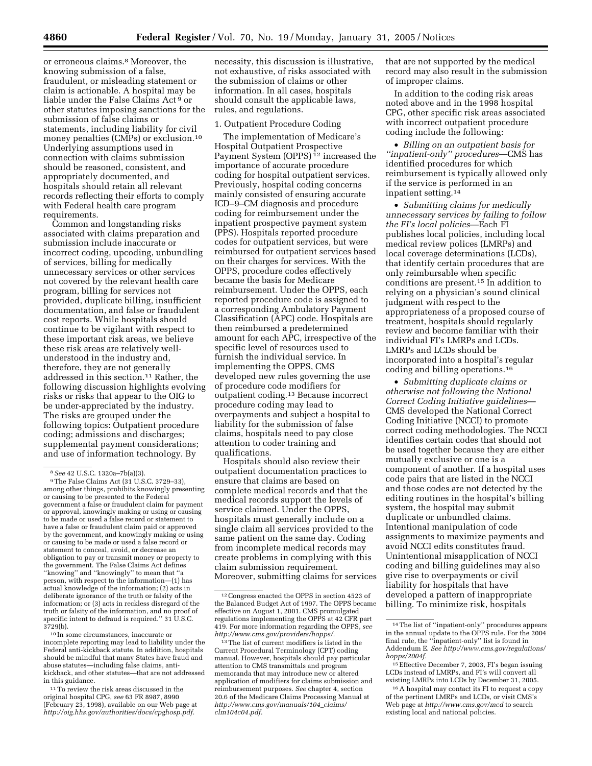or erroneous claims.8 Moreover, the knowing submission of a false, fraudulent, or misleading statement or claim is actionable. A hospital may be liable under the False Claims Act<sup>9</sup> or other statutes imposing sanctions for the submission of false claims or statements, including liability for civil money penalties (CMPs) or exclusion.10 Underlying assumptions used in connection with claims submission should be reasoned, consistent, and appropriately documented, and hospitals should retain all relevant records reflecting their efforts to comply with Federal health care program requirements.

Common and longstanding risks associated with claims preparation and submission include inaccurate or incorrect coding, upcoding, unbundling of services, billing for medically unnecessary services or other services not covered by the relevant health care program, billing for services not provided, duplicate billing, insufficient documentation, and false or fraudulent cost reports. While hospitals should continue to be vigilant with respect to these important risk areas, we believe these risk areas are relatively wellunderstood in the industry and, therefore, they are not generally addressed in this section.11 Rather, the following discussion highlights evolving risks or risks that appear to the OIG to be under-appreciated by the industry. The risks are grouped under the following topics: Outpatient procedure coding; admissions and discharges; supplemental payment considerations; and use of information technology. By

10 In some circumstances, inaccurate or incomplete reporting may lead to liability under the Federal anti-kickback statute. In addition, hospitals should be mindful that many States have fraud and abuse statutes—including false claims, antikickback, and other statutes—that are not addressed in this guidance.

<sup>11</sup> To review the risk areas discussed in the original hospital CPG, *see* 63 FR 8987, 8990 (February 23, 1998), available on our Web page at *http://oig.hhs.gov/authorities/docs/cpghosp.pdf.*

necessity, this discussion is illustrative, not exhaustive, of risks associated with the submission of claims or other information. In all cases, hospitals should consult the applicable laws, rules, and regulations.

## 1. Outpatient Procedure Coding

The implementation of Medicare's Hospital Outpatient Prospective Payment System (OPPS) 12 increased the importance of accurate procedure coding for hospital outpatient services. Previously, hospital coding concerns mainly consisted of ensuring accurate ICD–9–CM diagnosis and procedure coding for reimbursement under the inpatient prospective payment system (PPS). Hospitals reported procedure codes for outpatient services, but were reimbursed for outpatient services based on their charges for services. With the OPPS, procedure codes effectively became the basis for Medicare reimbursement. Under the OPPS, each reported procedure code is assigned to a corresponding Ambulatory Payment Classification (APC) code. Hospitals are then reimbursed a predetermined amount for each APC, irrespective of the specific level of resources used to furnish the individual service. In implementing the OPPS, CMS developed new rules governing the use of procedure code modifiers for outpatient coding.13 Because incorrect procedure coding may lead to overpayments and subject a hospital to liability for the submission of false claims, hospitals need to pay close attention to coder training and qualifications.

Hospitals should also review their outpatient documentation practices to ensure that claims are based on complete medical records and that the medical records support the levels of service claimed. Under the OPPS, hospitals must generally include on a single claim all services provided to the same patient on the same day. Coding from incomplete medical records may create problems in complying with this claim submission requirement. Moreover, submitting claims for services that are not supported by the medical record may also result in the submission of improper claims.

In addition to the coding risk areas noted above and in the 1998 hospital CPG, other specific risk areas associated with incorrect outpatient procedure coding include the following:

• *Billing on an outpatient basis for ''inpatient-only'' procedures*—CMS has identified procedures for which reimbursement is typically allowed only if the service is performed in an inpatient setting.14

• *Submitting claims for medically unnecessary services by failing to follow the FI's local policies*—Each FI publishes local policies, including local medical review polices (LMRPs) and local coverage determinations (LCDs), that identify certain procedures that are only reimbursable when specific conditions are present.15 In addition to relying on a physician's sound clinical judgment with respect to the appropriateness of a proposed course of treatment, hospitals should regularly review and become familiar with their individual FI's LMRPs and LCDs. LMRPs and LCDs should be incorporated into a hospital's regular coding and billing operations.16

• *Submitting duplicate claims or otherwise not following the National Correct Coding Initiative guidelines*— CMS developed the National Correct Coding Initiative (NCCI) to promote correct coding methodologies. The NCCI identifies certain codes that should not be used together because they are either mutually exclusive or one is a component of another. If a hospital uses code pairs that are listed in the NCCI and those codes are not detected by the editing routines in the hospital's billing system, the hospital may submit duplicate or unbundled claims. Intentional manipulation of code assignments to maximize payments and avoid NCCI edits constitutes fraud. Unintentional misapplication of NCCI coding and billing guidelines may also give rise to overpayments or civil liability for hospitals that have developed a pattern of inappropriate billing. To minimize risk, hospitals

<sup>8</sup>*See* 42 U.S.C. 1320a–7b(a)(3).

<sup>9</sup>The False Claims Act (31 U.S.C. 3729–33), among other things, prohibits knowingly presenting or causing to be presented to the Federal government a false or fraudulent claim for payment or approval, knowingly making or using or causing to be made or used a false record or statement to have a false or fraudulent claim paid or approved by the government, and knowingly making or using or causing to be made or used a false record or statement to conceal, avoid, or decrease an obligation to pay or transmit money or property to the government. The False Claims Act defines ''knowing'' and ''knowingly'' to mean that ''a person, with respect to the information—(1) has actual knowledge of the information; (2) acts in deliberate ignorance of the truth or falsity of the information; or (3) acts in reckless disregard of the truth or falsity of the information, and no proof of specific intent to defraud is required.'' 31 U.S.C. 3729(b).

 $^{\rm 12}$  Congress enacted the OPPS in section 4523 of the Balanced Budget Act of 1997. The OPPS became effective on August 1, 2001. CMS promulgated regulations implementing the OPPS at 42 CFR part 419. For more information regarding the OPPS, *see http://www.cms.gov/providers/hopps/.*

<sup>13</sup>The list of current modifiers is listed in the Current Procedural Terminology (CPT) coding manual. However, hospitals should pay particular attention to CMS transmittals and program memoranda that may introduce new or altered application of modifiers for claims submission and reimbursement purposes. *See* chapter 4, section 20.6 of the Medicare Claims Processing Manual at *http://www.cms.gov/manuals/104*\_*claims/ clm104c04.pdf.*

<sup>14</sup>The list of ''inpatient-only'' procedures appears in the annual update to the OPPS rule. For the 2004 final rule, the ''inpatient-only'' list is found in Addendum E. *See http://www.cms.gov/regulations/ hopps/2004f.*

<sup>&</sup>lt;sup>15</sup>Effective December 7, 2003, FI's began issuing LCDs instead of LMRPs, and FI's will convert all existing LMRPs into LCDs by December 31, 2005.

<sup>16</sup>A hospital may contact its FI to request a copy of the pertinent LMRPs and LCDs, or visit CMS's Web page at *http://www.cms.gov/mcd* to search existing local and national policies.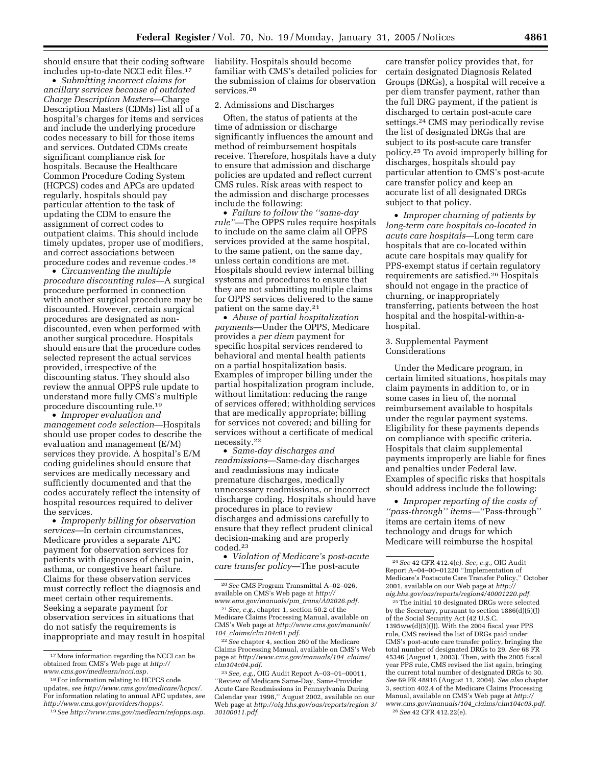should ensure that their coding software includes up-to-date NCCI edit files.17

• *Submitting incorrect claims for ancillary services because of outdated Charge Description Masters*—Charge Description Masters (CDMs) list all of a hospital's charges for items and services and include the underlying procedure codes necessary to bill for those items and services. Outdated CDMs create significant compliance risk for hospitals. Because the Healthcare Common Procedure Coding System (HCPCS) codes and APCs are updated regularly, hospitals should pay particular attention to the task of updating the CDM to ensure the assignment of correct codes to outpatient claims. This should include timely updates, proper use of modifiers, and correct associations between procedure codes and revenue codes.18

• *Circumventing the multiple procedure discounting rules*—A surgical procedure performed in connection with another surgical procedure may be discounted. However, certain surgical procedures are designated as nondiscounted, even when performed with another surgical procedure. Hospitals should ensure that the procedure codes selected represent the actual services provided, irrespective of the discounting status. They should also review the annual OPPS rule update to understand more fully CMS's multiple procedure discounting rule.19

• *Improper evaluation and management code selection*—Hospitals should use proper codes to describe the evaluation and management (E/M) services they provide. A hospital's E/M coding guidelines should ensure that services are medically necessary and sufficiently documented and that the codes accurately reflect the intensity of hospital resources required to deliver the services.

• *Improperly billing for observation services*—In certain circumstances, Medicare provides a separate APC payment for observation services for patients with diagnoses of chest pain, asthma, or congestive heart failure. Claims for these observation services must correctly reflect the diagnosis and meet certain other requirements. Seeking a separate payment for observation services in situations that do not satisfy the requirements is inappropriate and may result in hospital liability. Hospitals should become familiar with CMS's detailed policies for the submission of claims for observation services.20

## 2. Admissions and Discharges

Often, the status of patients at the time of admission or discharge significantly influences the amount and method of reimbursement hospitals receive. Therefore, hospitals have a duty to ensure that admission and discharge policies are updated and reflect current CMS rules. Risk areas with respect to the admission and discharge processes include the following:

• *Failure to follow the ''same-day rule''*—The OPPS rules require hospitals to include on the same claim all OPPS services provided at the same hospital, to the same patient, on the same day, unless certain conditions are met. Hospitals should review internal billing systems and procedures to ensure that they are not submitting multiple claims for OPPS services delivered to the same patient on the same day.21

• *Abuse of partial hospitalization payments*—Under the OPPS, Medicare provides a *per diem* payment for specific hospital services rendered to behavioral and mental health patients on a partial hospitalization basis. Examples of improper billing under the partial hospitalization program include, without limitation: reducing the range of services offered; withholding services that are medically appropriate; billing for services not covered; and billing for services without a certificate of medical necessity.22

• *Same-day discharges and readmissions*—Same-day discharges and readmissions may indicate premature discharges, medically unnecessary readmissions, or incorrect discharge coding. Hospitals should have procedures in place to review discharges and admissions carefully to ensure that they reflect prudent clinical decision-making and are properly coded.23

• *Violation of Medicare's post-acute care transfer policy*—The post-acute

care transfer policy provides that, for certain designated Diagnosis Related Groups (DRGs), a hospital will receive a per diem transfer payment, rather than the full DRG payment, if the patient is discharged to certain post-acute care settings.24 CMS may periodically revise the list of designated DRGs that are subject to its post-acute care transfer policy.25 To avoid improperly billing for discharges, hospitals should pay particular attention to CMS's post-acute care transfer policy and keep an accurate list of all designated DRGs subject to that policy.

• *Improper churning of patients by long-term care hospitals co-located in acute care hospitals*—Long term care hospitals that are co-located within acute care hospitals may qualify for PPS-exempt status if certain regulatory requirements are satisfied.26 Hospitals should not engage in the practice of churning, or inappropriately transferring, patients between the host hospital and the hospital-within-ahospital.

# 3. Supplemental Payment Considerations

Under the Medicare program, in certain limited situations, hospitals may claim payments in addition to, or in some cases in lieu of, the normal reimbursement available to hospitals under the regular payment systems. Eligibility for these payments depends on compliance with specific criteria. Hospitals that claim supplemental payments improperly are liable for fines and penalties under Federal law. Examples of specific risks that hospitals should address include the following:

• *Improper reporting of the costs of ''pass-through'' items*—''Pass-through'' items are certain items of new technology and drugs for which Medicare will reimburse the hospital

25The initial 10 designated DRGs were selected by the Secretary, pursuant to section 1886(d)(5)(J) of the Social Security Act (42 U.S.C. 1395ww(d)(5)(J)). With the 2004 fiscal year PPS rule, CMS revised the list of DRGs paid under CMS's post-acute care transfer policy, bringing the total number of designated DRGs to 29. *See* 68 FR 45346 (August 1, 2003). Then, with the 2005 fiscal year PPS rule, CMS revised the list again, bringing the current total number of designated DRGs to 30. *See* 69 FR 48916 (August 11, 2004). *See also* chapter 3, section 402.4 of the Medicare Claims Processing Manual, available on CMS's Web page at *http:// www.cms.gov/manuals/104*\_*claims/clm104c03.pdf.* 26*See* 42 CFR 412.22(e).

<sup>17</sup>More information regarding the NCCI can be obtained from CMS's Web page at *http:// www.cms.gov/medlearn/ncci.asp.*

<sup>18</sup>For information relating to HCPCS code updates, *see http://www.cms.gov/medicare/hcpcs/.* For information relating to annual APC updates, *see http://www.cms.gov/providers/hopps/.*

<sup>19</sup>*See http://www.cms.gov/medlearn/refopps.asp.*

<sup>20</sup>*See* CMS Program Transmittal A–02–026, available on CMS's Web page at *http:// www.ems.gov/manuals/pm*\_*trans/A02026.pdf.*

<sup>21</sup>*See, e.g.,* chapter 1, section 50.2 of the Medicare Claims Processing Manual, available on CMS's Web page at *http://www.cms.gov/manuals/ 104*\_*claims/clm104c01.pdf.*

<sup>22</sup>*See* chapter 4, section 260 of the Medicare Claims Processing Manual, available on CMS's Web page at *http://www.cms.gov/manuals/104*\_*claims/ clm104c04.pdf.*

<sup>23</sup>*See, e.g.,* OIG Audit Report A–03–01–00011, ''Review of Medicare Same-Day, Same-Provider Acute Care Readmissions in Pennsylvania During Calendar year 1998,'' August 2002, available on our Web page at *http://oig.hhs.gov/oas/reports/region 3/ 30100011.pdf.*

<sup>24</sup>*See* 42 CFR 412.4(c). *See, e.g.,* OIG Audit Report A–04–00–01220 ''Implementation of Medicare's Postacute Care Transfer Policy,'' October 2001, available on our Web page at *http:// oig.hhs.gov/oas/reports/region4/40001220.pdf*.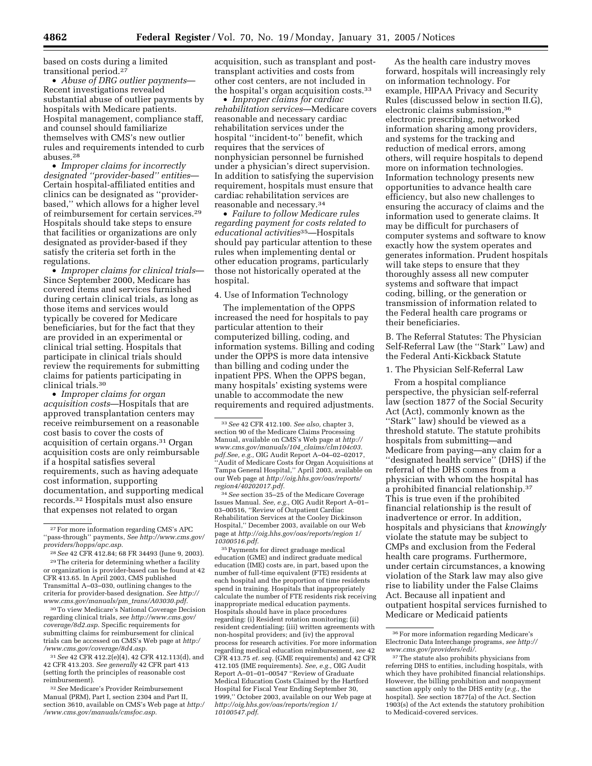based on costs during a limited transitional period.27

• *Abuse of DRG outlier payments*— Recent investigations revealed substantial abuse of outlier payments by hospitals with Medicare patients. Hospital management, compliance staff, and counsel should familiarize themselves with CMS's new outlier rules and requirements intended to curb abuses.28

• *Improper claims for incorrectly designated ''provider-based'' entities*— Certain hospital-affiliated entities and clinics can be designated as ''providerbased,'' which allows for a higher level of reimbursement for certain services.29 Hospitals should take steps to ensure that facilities or organizations are only designated as provider-based if they satisfy the criteria set forth in the regulations.

• *Improper claims for clinical trials*— Since September 2000, Medicare has covered items and services furnished during certain clinical trials, as long as those items and services would typically be covered for Medicare beneficiaries, but for the fact that they are provided in an experimental or clinical trial setting. Hospitals that participate in clinical trials should review the requirements for submitting claims for patients participating in clinical trials.30

• *Improper claims for organ acquisition costs*—Hospitals that are approved transplantation centers may receive reimbursement on a reasonable cost basis to cover the costs of acquisition of certain organs.31 Organ acquisition costs are only reimbursable if a hospital satisfies several requirements, such as having adequate cost information, supporting documentation, and supporting medical records.32 Hospitals must also ensure that expenses not related to organ

30To view Medicare's National Coverage Decision regarding clinical trials, *see http://www.cms.gov/ coverage/8d2.asp*. Specific requirements for submitting claims for reimbursement for clinical trials can be accessed on CMS's Web page at *http:/ /www.cms.gov/coverage/8d4.asp.*

31*See* 42 CFR 412.2(e)(4), 42 CFR 412.113(d), and 42 CFR 413.203. *See generally* 42 CFR part 413 (setting forth the principles of reasonable cost reimbursement).

32*See* Medicare's Provider Reimbursement Manual (PRM), Part I, section 2304 and Part II, section 3610, available on CMS's Web page at *http:/ /www.cms.gov/manuals/cmsfoc.asp.*

acquisition, such as transplant and posttransplant activities and costs from other cost centers, are not included in the hospital's organ acquisition costs.33

• *Improper claims for cardiac rehabilitation services*—Medicare covers reasonable and necessary cardiac rehabilitation services under the hospital ''incident-to'' benefit, which requires that the services of nonphysician personnel be furnished under a physician's direct supervision. In addition to satisfying the supervision requirement, hospitals must ensure that cardiac rehabilitation services are reasonable and necessary.34

• *Failure to follow Medicare rules regarding payment for costs related to educational activities*35—Hospitals should pay particular attention to these rules when implementing dental or other education programs, particularly those not historically operated at the hospital.

4. Use of Information Technology

The implementation of the OPPS increased the need for hospitals to pay particular attention to their computerized billing, coding, and information systems. Billing and coding under the OPPS is more data intensive than billing and coding under the inpatient PPS. When the OPPS began, many hospitals' existing systems were unable to accommodate the new requirements and required adjustments.

34*See* section 35–25 of the Medicare Coverage Issues Manual. *See, e.g.,* OIG Audit Report A–01– 03–00516, ''Review of Outpatient Cardiac Rehabilitation Services at the Cooley Dickinson Hospital,'' December 2003, available on our Web page at *http://oig.hhs.gov/oas/reports/region 1/ 10300516.pdf.*

35Payments for direct graduage medical education (GME) and indirect graduate medical education (IME) costs are, in part, based upon the number of full-time equivalent (FTE) residents at each hospital and the proportion of time residents spend in training. Hospitals that inappropriately calculate the number of FTE residents risk receiving inappropriate medical education payments. Hospitals should have in place procedures regarding: (i) Resident rotation monitoring; (ii) resident credentialing; (iii) written agreements with non-hospital providers; and (iv) the approval process for research activities. For more information regarding medical education reimbursement, *see* 42 CFR 413.75 *et. seq.* (GME requirements) and 42 CFR 412.105 (IME requirements). *See*, *e.g.,* OIG Audit Report A–01–01–00547 ''Review of Graduate Medical Education Costs Claimed by the Hartford Hospital for Fiscal Year Ending September 30, 1999,'' October 2003, available on our Web page at *http://oig.hhs.gov/oas/reports/region 1/ 10100547.pdf*.

As the health care industry moves forward, hospitals will increasingly rely on information technology. For example, HIPAA Privacy and Security Rules (discussed below in section II.G), electronic claims submission,36 electronic prescribing, networked information sharing among providers, and systems for the tracking and reduction of medical errors, among others, will require hospitals to depend more on information technologies. Information technology presents new opportunities to advance health care efficiency, but also new challenges to ensuring the accuracy of claims and the information used to generate claims. It may be difficult for purchasers of computer systems and software to know exactly how the system operates and generates information. Prudent hospitals will take steps to ensure that they thoroughly assess all new computer systems and software that impact coding, billing, or the generation or transmission of information related to the Federal health care programs or their beneficiaries.

B. The Referral Statutes: The Physician Self-Referral Law (the ''Stark'' Law) and the Federal Anti-Kickback Statute

1. The Physician Self-Referral Law

From a hospital compliance perspective, the physician self-referral law (section 1877 of the Social Security Act (Act), commonly known as the ''Stark'' law) should be viewed as a threshold statute. The statute prohibits hospitals from submitting—and Medicare from paying—any claim for a ''designated health service'' (DHS) if the referral of the DHS comes from a physician with whom the hospital has a prohibited financial relationship.37 This is true even if the prohibited financial relationship is the result of inadvertence or error. In addition, hospitals and physicians that *knowingly* violate the statute may be subject to CMPs and exclusion from the Federal health care programs. Furthermore, under certain circumstances, a knowing violation of the Stark law may also give rise to liability under the False Claims Act. Because all inpatient and outpatient hospital services furnished to Medicare or Medicaid patients

<sup>27</sup>For more information regarding CMS's APC ''pass-through'' payments, *See http://www.cms.gov/ providers/hopps/apc.asp.*

<sup>28</sup>*See* 42 CFR 412.84; 68 FR 34493 (June 9, 2003). 29The criteria for determining whether a facility or organization is provider-based can be found at 42 CFR 413.65. In April 2003, CMS published Transmittal A–03–030, outlining changes to the criteria for provider-based designation. *See http:// www.cms.gov/manuals/pm*\_*trans/A03030.pdf.*

<sup>33</sup>*See* 42 CFR 412.100. *See also,* chapter 3, section 90 of the Medicare Claims Processing Manual, available on CMS's Web page at *http:// www.cms.gov/manuals/104*\_*claims/clm104c03. pdf.See, e.g.,* OIG Audit Report A–04–02–02017, ''Audit of Medicare Costs for Organ Acquisitions at Tampa General Hospital,'' April 2003, available on our Web page at *http://oig.hhs.gov/oas/reports/ region4/40202017.pdf.*

<sup>36</sup>For more information regarding Medicare's Electronic Data Interchange programs, *see http:// www.cms.gov/providers/edi/*.

<sup>&</sup>lt;sup>37</sup>The statute also prohibits physicians from referring DHS to entities, including hospitals, with which they have prohibited financial relationships. However, the billing prohibition and nonpayment sanction apply only to the DHS entity (*e.g.*, the hospital). *See* section 1877(a) of the Act. Section 1903(s) of the Act extends the statutory prohibition to Medicaid-covered services.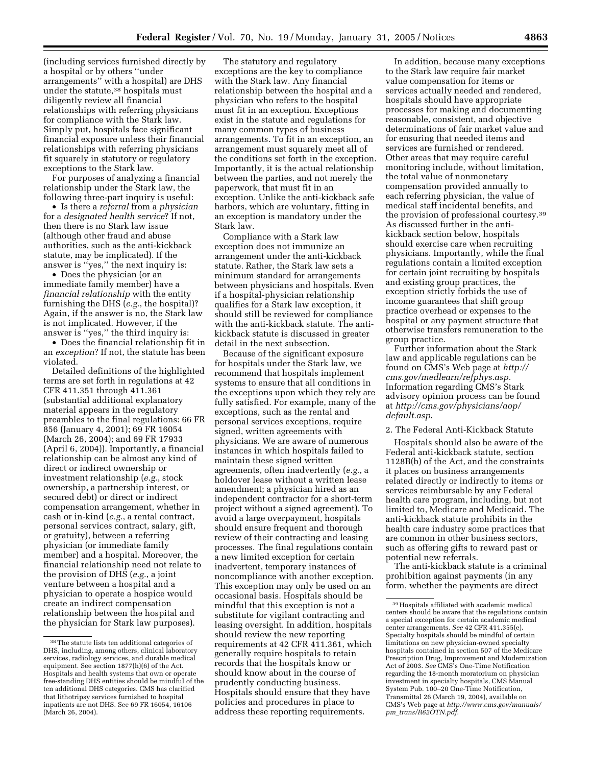(including services furnished directly by a hospital or by others ''under arrangements'' with a hospital) are DHS under the statute,<sup>38</sup> hospitals must diligently review all financial relationships with referring physicians for compliance with the Stark law. Simply put, hospitals face significant financial exposure unless their financial relationships with referring physicians fit squarely in statutory or regulatory

exceptions to the Stark law. For purposes of analyzing a financial relationship under the Stark law, the following three-part inquiry is useful:

• Is there a *referral* from a *physician* for a *designated health service*? If not, then there is no Stark law issue (although other fraud and abuse authorities, such as the anti-kickback statute, may be implicated). If the answer is ''yes,'' the next inquiry is:

• Does the physician (or an immediate family member) have a *financial relationship* with the entity furnishing the DHS (*e.g.*, the hospital)? Again, if the answer is no, the Stark law is not implicated. However, if the answer is ''yes,'' the third inquiry is:

• Does the financial relationship fit in an *exception*? If not, the statute has been violated.

Detailed definitions of the highlighted terms are set forth in regulations at 42 CFR 411.351 through 411.361 (substantial additional explanatory material appears in the regulatory preambles to the final regulations: 66 FR 856 (January 4, 2001); 69 FR 16054 (March 26, 2004); and 69 FR 17933 (April 6, 2004)). Importantly, a financial relationship can be almost any kind of direct or indirect ownership or investment relationship (*e.g.*, stock ownership, a partnership interest, or secured debt) or direct or indirect compensation arrangement, whether in cash or in-kind (*e.g.*, a rental contract, personal services contract, salary, gift, or gratuity), between a referring physician (or immediate family member) and a hospital. Moreover, the financial relationship need not relate to the provision of DHS (*e.g.*, a joint venture between a hospital and a physician to operate a hospice would create an indirect compensation relationship between the hospital and the physician for Stark law purposes).

The statutory and regulatory exceptions are the key to compliance with the Stark law. Any financial relationship between the hospital and a physician who refers to the hospital must fit in an exception. Exceptions exist in the statute and regulations for many common types of business arrangements. To fit in an exception, an arrangement must squarely meet all of the conditions set forth in the exception. Importantly, it is the actual relationship between the parties, and not merely the paperwork, that must fit in an exception. Unlike the anti-kickback safe harbors, which are voluntary, fitting in an exception is mandatory under the Stark law.

Compliance with a Stark law exception does not immunize an arrangement under the anti-kickback statute. Rather, the Stark law sets a minimum standard for arrangements between physicians and hospitals. Even if a hospital-physician relationship qualifies for a Stark law exception, it should still be reviewed for compliance with the anti-kickback statute. The antikickback statute is discussed in greater detail in the next subsection.

Because of the significant exposure for hospitals under the Stark law, we recommend that hospitals implement systems to ensure that all conditions in the exceptions upon which they rely are fully satisfied. For example, many of the exceptions, such as the rental and personal services exceptions, require signed, written agreements with physicians. We are aware of numerous instances in which hospitals failed to maintain these signed written agreements, often inadvertently (*e.g.*, a holdover lease without a written lease amendment; a physician hired as an independent contractor for a short-term project without a signed agreement). To avoid a large overpayment, hospitals should ensure frequent and thorough review of their contracting and leasing processes. The final regulations contain a new limited exception for certain inadvertent, temporary instances of noncompliance with another exception. This exception may only be used on an occasional basis. Hospitals should be mindful that this exception is not a substitute for vigilant contracting and leasing oversight. In addition, hospitals should review the new reporting requirements at 42 CFR 411.361, which generally require hospitals to retain records that the hospitals know or should know about in the course of prudently conducting business. Hospitals should ensure that they have policies and procedures in place to address these reporting requirements.

In addition, because many exceptions to the Stark law require fair market value compensation for items or services actually needed and rendered, hospitals should have appropriate processes for making and documenting reasonable, consistent, and objective determinations of fair market value and for ensuring that needed items and services are furnished or rendered. Other areas that may require careful monitoring include, without limitation, the total value of nonmonetary compensation provided annually to each referring physician, the value of medical staff incidental benefits, and the provision of professional courtesy.39 As discussed further in the antikickback section below, hospitals should exercise care when recruiting physicians. Importantly, while the final regulations contain a limited exception for certain joint recruiting by hospitals and existing group practices, the exception strictly forbids the use of income guarantees that shift group practice overhead or expenses to the hospital or any payment structure that otherwise transfers remuneration to the group practice.

Further information about the Stark law and applicable regulations can be found on CMS's Web page at *http:// cms.gov/medlearn/refphys.asp.* Information regarding CMS's Stark advisory opinion process can be found at *http://cms.gov/physicians/aop/ default.asp*.

#### 2. The Federal Anti-Kickback Statute

Hospitals should also be aware of the Federal anti-kickback statute, section 1128B(b) of the Act, and the constraints it places on business arrangements related directly or indirectly to items or services reimbursable by any Federal health care program, including, but not limited to, Medicare and Medicaid. The anti-kickback statute prohibits in the health care industry some practices that are common in other business sectors, such as offering gifts to reward past or potential new referrals.

The anti-kickback statute is a criminal prohibition against payments (in any form, whether the payments are direct

<sup>38</sup>The statute lists ten additional categories of DHS, including, among others, clinical laboratory services, radiology services, and durable medical equipment. See section 1877(h)(6) of the Act. Hospitals and health systems that own or operate free-standing DHS entities should be mindful of the ten additional DHS categories. CMS has clarified that lithotripsy services furnished to hospital inpatients are not DHS. See 69 FR 16054, 16106 (March 26, 2004).

<sup>39</sup>Hospitals affiliated with academic medical centers should be aware that the regulations contain a special exception for certain academic medical center arrangements. *See* 42 CFR 411.355(e). Specialty hospitals should be mindful of certain limitations on new physician-owned specialty hospitals contained in section 507 of the Medicare Prescription Drug, Improvement and Modernization Act of 2003. *See* CMS's One-Time Notification regarding the 18-month moratorium on physician investment in specialty hospitals, CMS Manual System Pub. 100–20 One-Time Notification, Transmittal 26 (March 19, 2004), available on CMS's Web page at *http://www.cms.gov/manuals/ pm*\_*trans/R62OTN.pdf*.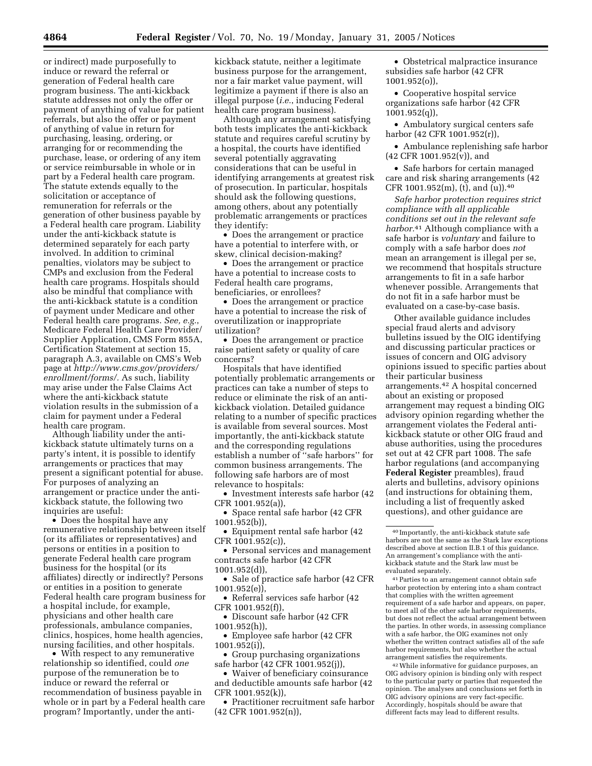or indirect) made purposefully to induce or reward the referral or generation of Federal health care program business. The anti-kickback statute addresses not only the offer or payment of anything of value for patient referrals, but also the offer or payment of anything of value in return for purchasing, leasing, ordering, or arranging for or recommending the purchase, lease, or ordering of any item or service reimbursable in whole or in part by a Federal health care program. The statute extends equally to the solicitation or acceptance of remuneration for referrals or the generation of other business payable by a Federal health care program. Liability under the anti-kickback statute is determined separately for each party involved. In addition to criminal penalties, violators may be subject to CMPs and exclusion from the Federal health care programs. Hospitals should also be mindful that compliance with the anti-kickback statute is a condition of payment under Medicare and other Federal health care programs. *See, e.g.*, Medicare Federal Health Care Provider/ Supplier Application, CMS Form 855A, Certification Statement at section 15, paragraph A.3, available on CMS's Web page at *http://www.cms.gov/providers/ enrollment/forms/.* As such, liability may arise under the False Claims Act where the anti-kickback statute violation results in the submission of a claim for payment under a Federal health care program.

Although liability under the antikickback statute ultimately turns on a party's intent, it is possible to identify arrangements or practices that may present a significant potential for abuse. For purposes of analyzing an arrangement or practice under the antikickback statute, the following two inquiries are useful:

• Does the hospital have any remunerative relationship between itself (or its affiliates or representatives) and persons or entities in a position to generate Federal health care program business for the hospital (or its affiliates) directly or indirectly? Persons or entities in a position to generate Federal health care program business for a hospital include, for example, physicians and other health care professionals, ambulance companies, clinics, hospices, home health agencies, nursing facilities, and other hospitals.

• With respect to any remunerative relationship so identified, could *one* purpose of the remuneration be to induce or reward the referral or recommendation of business payable in whole or in part by a Federal health care program? Importantly, under the anti-

kickback statute, neither a legitimate business purpose for the arrangement, nor a fair market value payment, will legitimize a payment if there is also an illegal purpose (*i.e.*, inducing Federal health care program business).

Although any arrangement satisfying both tests implicates the anti-kickback statute and requires careful scrutiny by a hospital, the courts have identified several potentially aggravating considerations that can be useful in identifying arrangements at greatest risk of prosecution. In particular, hospitals should ask the following questions, among others, about any potentially problematic arrangements or practices they identify:

• Does the arrangement or practice have a potential to interfere with, or skew, clinical decision-making?

• Does the arrangement or practice have a potential to increase costs to Federal health care programs, beneficiaries, or enrollees?

• Does the arrangement or practice have a potential to increase the risk of overutilization or inappropriate utilization?

• Does the arrangement or practice raise patient safety or quality of care concerns?

Hospitals that have identified potentially problematic arrangements or practices can take a number of steps to reduce or eliminate the risk of an antikickback violation. Detailed guidance relating to a number of specific practices is available from several sources. Most importantly, the anti-kickback statute and the corresponding regulations establish a number of ''safe harbors'' for common business arrangements. The following safe harbors are of most relevance to hospitals:

• Investment interests safe harbor (42 CFR 1001.952(a)),

• Space rental safe harbor (42 CFR 1001.952(b)),

• Equipment rental safe harbor (42 CFR 1001.952(c)),

• Personal services and management contracts safe harbor (42 CFR 1001.952(d)),

• Sale of practice safe harbor (42 CFR 1001.952(e)),

• Referral services safe harbor (42 CFR 1001.952(f)),

• Discount safe harbor (42 CFR 1001.952(h)),

• Employee safe harbor (42 CFR 1001.952(i)),

• Group purchasing organizations safe harbor (42 CFR 1001.952(j)),

• Waiver of beneficiary coinsurance and deductible amounts safe harbor (42 CFR 1001.952(k)),

• Practitioner recruitment safe harbor (42 CFR 1001.952(n)),

• Obstetrical malpractice insurance subsidies safe harbor (42 CFR 1001.952(o)),

• Cooperative hospital service organizations safe harbor (42 CFR  $1001.952(q)$ ),

• Ambulatory surgical centers safe harbor (42 CFR 1001.952(r)),

• Ambulance replenishing safe harbor (42 CFR 1001.952(v)), and

• Safe harbors for certain managed care and risk sharing arrangements (42 CFR 1001.952(m), (t), and (u)).<sup>40</sup>

*Safe harbor protection requires strict compliance with all applicable conditions set out in the relevant safe harbor.*41 Although compliance with a safe harbor is *voluntary* and failure to comply with a safe harbor does *not* mean an arrangement is illegal per se, we recommend that hospitals structure arrangements to fit in a safe harbor whenever possible. Arrangements that do not fit in a safe harbor must be evaluated on a case-by-case basis.

Other available guidance includes special fraud alerts and advisory bulletins issued by the OIG identifying and discussing particular practices or issues of concern and OIG advisory opinions issued to specific parties about their particular business arrangements.42 A hospital concerned about an existing or proposed arrangement may request a binding OIG advisory opinion regarding whether the arrangement violates the Federal antikickback statute or other OIG fraud and abuse authorities, using the procedures set out at 42 CFR part 1008. The safe harbor regulations (and accompanying **Federal Register** preambles), fraud alerts and bulletins, advisory opinions (and instructions for obtaining them, including a list of frequently asked questions), and other guidance are

40 Importantly, the anti-kickback statute safe harbors are not the same as the Stark law exceptions described above at section II.B.1 of this guidance. An arrangement's compliance with the antikickback statute and the Stark law must be evaluated separately.

41Parties to an arrangement cannot obtain safe harbor protection by entering into a sham contract that complies with the written agreement requirement of a safe harbor and appears, on paper, to meet all of the other safe harbor requirements, but does not reflect the actual arrangement between the parties. In other words, in assessing compliance with a safe harbor, the OIG examines not only whether the written contract satisfies all of the safe harbor requirements, but also whether the actual arrangement satisfies the requirements.

42While informative for guidance purposes, an OIG advisory opinion is binding only with respect to the particular party or parties that requested the opinion. The analyses and conclusions set forth in OIG advisory opinions are very fact-specific. Accordingly, hospitals should be aware that different facts may lead to different results.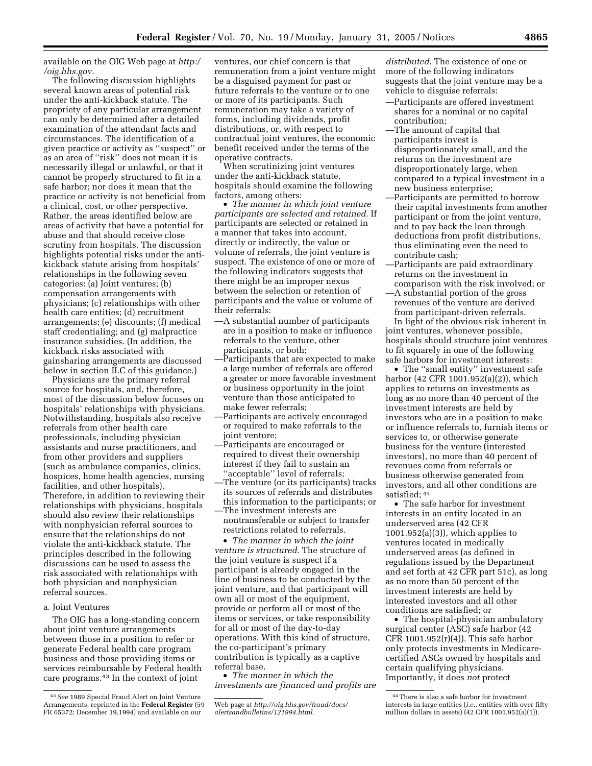available on the OIG Web page at *http:/ /oig.hhs.gov.*

The following discussion highlights several known areas of potential risk under the anti-kickback statute. The propriety of any particular arrangement can only be determined after a detailed examination of the attendant facts and circumstances. The identification of a given practice or activity as ''suspect'' or as an area of ''risk'' does not mean it is necessarily illegal or unlawful, or that it cannot be properly structured to fit in a safe harbor; nor does it mean that the practice or activity is not beneficial from a clinical, cost, or other perspective. Rather, the areas identified below are areas of activity that have a potential for abuse and that should receive close scrutiny from hospitals. The discussion highlights potential risks under the antikickback statute arising from hospitals' relationships in the following seven categories: (a) Joint ventures; (b) compensation arrangements with physicians; (c) relationships with other health care entities; (d) recruitment arrangements; (e) discounts; (f) medical staff credentialing; and (g) malpractice insurance subsidies. (In addition, the kickback risks associated with gainsharing arrangements are discussed below in section II.C of this guidance.)

Physicians are the primary referral source for hospitals, and, therefore, most of the discussion below focuses on hospitals' relationships with physicians. Notwithstanding, hospitals also receive referrals from other health care professionals, including physician assistants and nurse practitioners, and from other providers and suppliers (such as ambulance companies, clinics, hospices, home health agencies, nursing facilities, and other hospitals). Therefore, in addition to reviewing their relationships with physicians, hospitals should also review their relationships with nonphysician referral sources to ensure that the relationships do not violate the anti-kickback statute. The principles described in the following discussions can be used to assess the risk associated with relationships with both physician and nonphysician referral sources.

## a. Joint Ventures

The OIG has a long-standing concern about joint venture arrangements between those in a position to refer or generate Federal health care program business and those providing items or services reimbursable by Federal health care programs.43 In the context of joint

ventures, our chief concern is that remuneration from a joint venture might be a disguised payment for past or future referrals to the venture or to one or more of its participants. Such remuneration may take a variety of forms, including dividends, profit distributions, or, with respect to contractual joint ventures, the economic benefit received under the terms of the operative contracts.

When scrutinizing joint ventures under the anti-kickback statute, hospitals should examine the following factors, among others:

• *The manner in which joint venture participants are selected and retained.* If participants are selected or retained in a manner that takes into account, directly or indirectly, the value or volume of referrals, the joint venture is suspect. The existence of one or more of the following indicators suggests that there might be an improper nexus between the selection or retention of participants and the value or volume of their referrals:

- —A substantial number of participants are in a position to make or influence referrals to the venture, other participants, or both;
- —Participants that are expected to make a large number of referrals are offered a greater or more favorable investment or business opportunity in the joint venture than those anticipated to make fewer referrals;
- —Participants are actively encouraged or required to make referrals to the joint venture;
- —Participants are encouraged or required to divest their ownership interest if they fail to sustain an ''acceptable'' level of referrals;
- —The venture (or its participants) tracks its sources of referrals and distributes this information to the participants; or —The investment interests are nontransferable or subject to transfer restrictions related to referrals.

• *The manner in which the joint venture is structured.* The structure of the joint venture is suspect if a participant is already engaged in the line of business to be conducted by the joint venture, and that participant will own all or most of the equipment, provide or perform all or most of the items or services, or take responsibility for all or most of the day-to-day operations. With this kind of structure, the co-participant's primary contribution is typically as a captive referral base.

• *The manner in which the investments are financed and profits are* 

*distributed.* The existence of one or more of the following indicators suggests that the joint venture may be a vehicle to disguise referrals:

- —Participants are offered investment shares for a nominal or no capital contribution;
- —The amount of capital that participants invest is disproportionately small, and the returns on the investment are disproportionately large, when compared to a typical investment in a new business enterprise;
- —Participants are permitted to borrow their capital investments from another participant or from the joint venture, and to pay back the loan through deductions from profit distributions, thus eliminating even the need to contribute cash;
- —Participants are paid extraordinary returns on the investment in comparison with the risk involved; or
- —A substantial portion of the gross revenues of the venture are derived from participant-driven referrals. In light of the obvious risk inherent in

joint ventures, whenever possible, hospitals should structure joint ventures to fit squarely in one of the following safe harbors for investment interests:

• The ''small entity'' investment safe harbor (42 CFR 1001.952(a)(2)), which applies to returns on investments as long as no more than 40 percent of the investment interests are held by investors who are in a position to make or influence referrals to, furnish items or services to, or otherwise generate business for the venture (interested investors), no more than 40 percent of revenues come from referrals or business otherwise generated from investors, and all other conditions are satisfied; 44

• The safe harbor for investment interests in an entity located in an underserved area (42 CFR 1001.952(a)(3)), which applies to ventures located in medically underserved areas (as defined in regulations issued by the Department and set forth at 42 CFR part 51c), as long as no more than 50 percent of the investment interests are held by interested investors and all other conditions are satisfied; or

• The hospital-physician ambulatory surgical center (ASC) safe harbor (42 CFR 1001.952 $(r)(4)$ ). This safe harbor only protects investments in Medicarecertified ASCs owned by hospitals and certain qualifying physicians. Importantly, it does *not* protect

<sup>43</sup>*See* 1989 Special Fraud Alert on Joint Venture Arrangements, reprinted in the **Federal Register** (59 FR 65372; December 19,1994) and available on our

Web page at *http://oig.hhs.gov/fraud/docs/ alertsandbulletins/121994.html.*

<sup>44</sup>There is also a safe harbor for investment interests in large entities (*i.e.,* entities with over fifty million dollars in assets) (42 CFR 1001.952(a)(1)).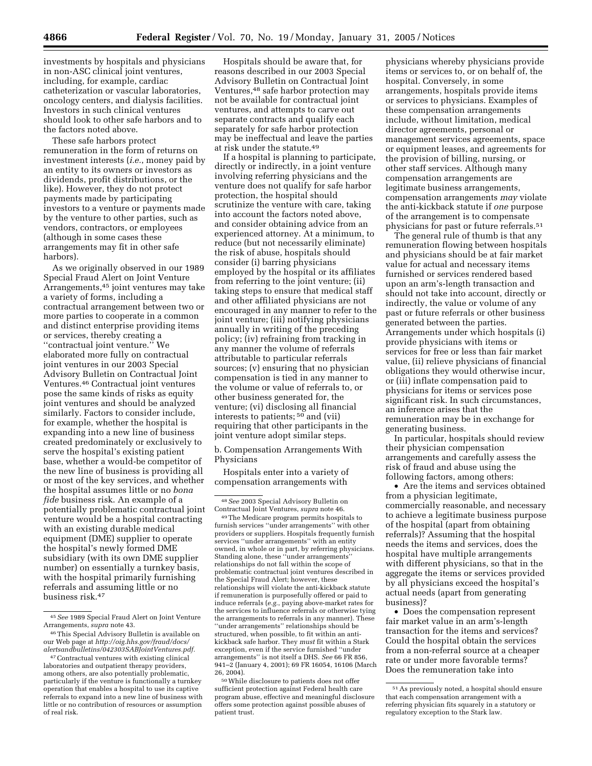investments by hospitals and physicians in non-ASC clinical joint ventures, including, for example, cardiac catheterization or vascular laboratories, oncology centers, and dialysis facilities. Investors in such clinical ventures should look to other safe harbors and to the factors noted above.

These safe harbors protect remuneration in the form of returns on investment interests (*i.e.*, money paid by an entity to its owners or investors as dividends, profit distributions, or the like). However, they do not protect payments made by participating investors to a venture or payments made by the venture to other parties, such as vendors, contractors, or employees (although in some cases these arrangements may fit in other safe harbors).

As we originally observed in our 1989 Special Fraud Alert on Joint Venture Arrangements,45 joint ventures may take a variety of forms, including a contractual arrangement between two or more parties to cooperate in a common and distinct enterprise providing items or services, thereby creating a ''contractual joint venture.'' We elaborated more fully on contractual joint ventures in our 2003 Special Advisory Bulletin on Contractual Joint Ventures.46 Contractual joint ventures pose the same kinds of risks as equity joint ventures and should be analyzed similarly. Factors to consider include, for example, whether the hospital is expanding into a new line of business created predominately or exclusively to serve the hospital's existing patient base, whether a would-be competitor of the new line of business is providing all or most of the key services, and whether the hospital assumes little or no *bona fide* business risk. An example of a potentially problematic contractual joint venture would be a hospital contracting with an existing durable medical equipment (DME) supplier to operate the hospital's newly formed DME subsidiary (with its own DME supplier number) on essentially a turnkey basis, with the hospital primarily furnishing referrals and assuming little or no business risk.47

Hospitals should be aware that, for reasons described in our 2003 Special Advisory Bulletin on Contractual Joint Ventures,48 safe harbor protection may not be available for contractual joint ventures, and attempts to carve out separate contracts and qualify each separately for safe harbor protection may be ineffectual and leave the parties at risk under the statute.49

If a hospital is planning to participate, directly or indirectly, in a joint venture involving referring physicians and the venture does not qualify for safe harbor protection, the hospital should scrutinize the venture with care, taking into account the factors noted above, and consider obtaining advice from an experienced attorney. At a minimum, to reduce (but not necessarily eliminate) the risk of abuse, hospitals should consider (i) barring physicians employed by the hospital or its affiliates from referring to the joint venture; (ii) taking steps to ensure that medical staff and other affiliated physicians are not encouraged in any manner to refer to the joint venture; (iii) notifying physicians annually in writing of the preceding policy; (iv) refraining from tracking in any manner the volume of referrals attributable to particular referrals sources; (v) ensuring that no physician compensation is tied in any manner to the volume or value of referrals to, or other business generated for, the venture; (vi) disclosing all financial interests to patients; 50 and (vii) requiring that other participants in the joint venture adopt similar steps.

b. Compensation Arrangements With Physicians

Hospitals enter into a variety of compensation arrangements with

50While disclosure to patients does not offer sufficient protection against Federal health care program abuse, effective and meaningful disclosure offers some protection against possible abuses of patient trust.

physicians whereby physicians provide items or services to, or on behalf of, the hospital. Conversely, in some arrangements, hospitals provide items or services to physicians. Examples of these compensation arrangements include, without limitation, medical director agreements, personal or management services agreements, space or equipment leases, and agreements for the provision of billing, nursing, or other staff services. Although many compensation arrangements are legitimate business arrangements, compensation arrangements *may* violate the anti-kickback statute if *one* purpose of the arrangement is to compensate physicians for past or future referrals.51

The general rule of thumb is that any remuneration flowing between hospitals and physicians should be at fair market value for actual and necessary items furnished or services rendered based upon an arm's-length transaction and should not take into account, directly or indirectly, the value or volume of any past or future referrals or other business generated between the parties. Arrangements under which hospitals (i) provide physicians with items or services for free or less than fair market value, (ii) relieve physicians of financial obligations they would otherwise incur, or (iii) inflate compensation paid to physicians for items or services pose significant risk. In such circumstances, an inference arises that the remuneration may be in exchange for generating business.

In particular, hospitals should review their physician compensation arrangements and carefully assess the risk of fraud and abuse using the following factors, among others:

• Are the items and services obtained from a physician legitimate, commercially reasonable, and necessary to achieve a legitimate business purpose of the hospital (apart from obtaining referrals)? Assuming that the hospital needs the items and services, does the hospital have multiple arrangements with different physicians, so that in the aggregate the items or services provided by all physicians exceed the hospital's actual needs (apart from generating business)?

• Does the compensation represent fair market value in an arm's-length transaction for the items and services? Could the hospital obtain the services from a non-referral source at a cheaper rate or under more favorable terms? Does the remuneration take into

<sup>45</sup>*See* 1989 Special Fraud Alert on Joint Venture Arrangements, *supra* note 43.

<sup>46</sup>This Special Advisory Bulletin is available on our Web page at *http://oig.hhs.gov/fraud/docs/ alertsandbulletins/042303SABJointVentures.pdf.*

<sup>47</sup>Contractual ventures with existing clinical laboratories and outpatient therapy providers, among others, are also potentially problematic, particularly if the venture is functionally a turnkey operation that enables a hospital to use its captive referrals to expand into a new line of business with little or no contribution of resources or assumption of real risk.

<sup>48</sup>*See* 2003 Special Advisory Bulletin on Contractual Joint Ventures, *supra* note 46.

<sup>49</sup>The Medicare program permits hospitals to furnish services ''under arrangements'' with other providers or suppliers. Hospitals frequently furnish services ''under arrangements'' with an entity owned, in whole or in part, by referring physicians. Standing alone, these ''under arrangements'' relationships do not fall within the scope of problematic contractual joint ventures described in the Special Fraud Alert; however, these relationships will violate the anti-kickback statute if remuneration is purposefully offered or paid to induce referrals (*e.g.*, paying above-market rates for the services to influence referrals or otherwise tying the arrangements to referrals in any manner). These ''under arrangements'' relationships should be structured, when possible, to fit within an antikickback safe harbor. They *must* fit within a Stark exception, even if the service furnished ''under arrangements'' is not itself a DHS. *See* 66 FR 856, 941–2 (January 4, 2001); 69 FR 16054, 16106 (March 26, 2004).

<sup>51</sup>As previously noted, a hospital should ensure that each compensation arrangement with a referring physician fits squarely in a statutory or regulatory exception to the Stark law.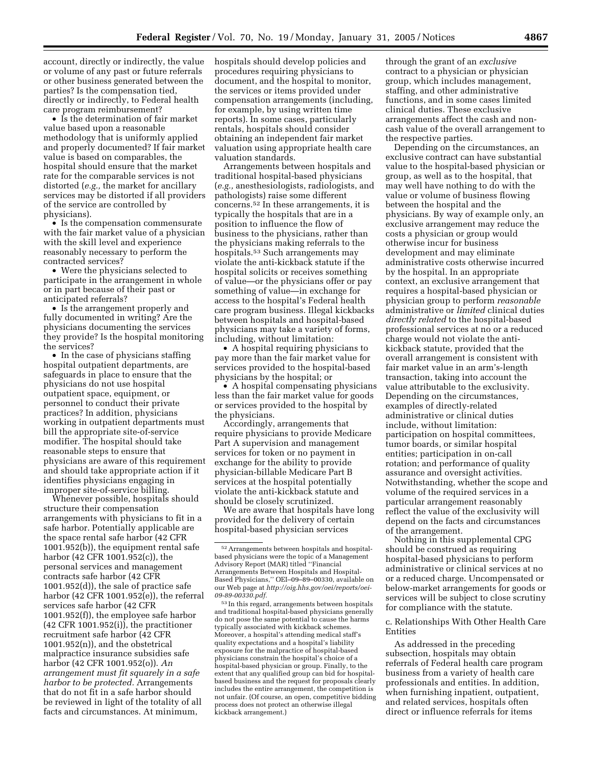account, directly or indirectly, the value or volume of any past or future referrals or other business generated between the parties? Is the compensation tied, directly or indirectly, to Federal health care program reimbursement?

• Is the determination of fair market value based upon a reasonable methodology that is uniformly applied and properly documented? If fair market value is based on comparables, the hospital should ensure that the market rate for the comparable services is not distorted (*e.g.,* the market for ancillary services may be distorted if all providers of the service are controlled by physicians).

• Is the compensation commensurate with the fair market value of a physician with the skill level and experience reasonably necessary to perform the contracted services?

• Were the physicians selected to participate in the arrangement in whole or in part because of their past or anticipated referrals?

• Is the arrangement properly and fully documented in writing? Are the physicians documenting the services they provide? Is the hospital monitoring the services?

• In the case of physicians staffing hospital outpatient departments, are safeguards in place to ensure that the physicians do not use hospital outpatient space, equipment, or personnel to conduct their private practices? In addition, physicians working in outpatient departments must bill the appropriate site-of-service modifier. The hospital should take reasonable steps to ensure that physicians are aware of this requirement and should take appropriate action if it identifies physicians engaging in improper site-of-service billing.

Whenever possible, hospitals should structure their compensation arrangements with physicians to fit in a safe harbor. Potentially applicable are the space rental safe harbor (42 CFR 1001.952(b)), the equipment rental safe harbor (42 CFR 1001.952(c)), the personal services and management contracts safe harbor (42 CFR 1001.952(d)), the sale of practice safe harbor (42 CFR 1001.952(e)), the referral services safe harbor (42 CFR 1001.952(f)), the employee safe harbor (42 CFR 1001.952(i)), the practitioner recruitment safe harbor (42 CFR  $1001.952(n)$ , and the obstetrical malpractice insurance subsidies safe harbor (42 CFR 1001.952(o)). *An arrangement must fit squarely in a safe harbor to be protected.* Arrangements that do not fit in a safe harbor should be reviewed in light of the totality of all facts and circumstances. At minimum,

hospitals should develop policies and procedures requiring physicians to document, and the hospital to monitor, the services or items provided under compensation arrangements (including, for example, by using written time reports). In some cases, particularly rentals, hospitals should consider obtaining an independent fair market valuation using appropriate health care valuation standards.

Arrangements between hospitals and traditional hospital-based physicians (*e.g.,* anesthesiologists, radiologists, and pathologists) raise some different concerns.52 In these arrangements, it is typically the hospitals that are in a position to influence the flow of business to the physicians, rather than the physicians making referrals to the hospitals.53 Such arrangements may violate the anti-kickback statute if the hospital solicits or receives something of value—or the physicians offer or pay something of value—in exchange for access to the hospital's Federal health care program business. Illegal kickbacks between hospitals and hospital-based physicians may take a variety of forms, including, without limitation:

• A hospital requiring physicians to pay more than the fair market value for services provided to the hospital-based physicians by the hospital; or

• A hospital compensating physicians less than the fair market value for goods or services provided to the hospital by the physicians.

Accordingly, arrangements that require physicians to provide Medicare Part A supervision and management services for token or no payment in exchange for the ability to provide physician-billable Medicare Part B services at the hospital potentially violate the anti-kickback statute and should be closely scrutinized.

We are aware that hospitals have long provided for the delivery of certain hospital-based physician services

53 In this regard, arrangements between hospitals and traditional hospital-based physicians generally do not pose the same potential to cause the harms typically associated with kickback schemes. Moreover, a hospital's attending medical staff's quality expectations and a hospital's liability exposure for the malpractice of hospital-based physicians constrain the hospital's choice of a hospital-based physician or group. Finally, to the extent that any qualified group can bid for hospitalbased business and the request for proposals clearly includes the entire arrangement, the competition is not unfair. (Of course, an open, competitive bidding process does not protect an otherwise illegal kickback arrangement.)

through the grant of an *exclusive* contract to a physician or physician group, which includes management, staffing, and other administrative functions, and in some cases limited clinical duties. These exclusive arrangements affect the cash and noncash value of the overall arrangement to the respective parties.

Depending on the circumstances, an exclusive contract can have substantial value to the hospital-based physician or group, as well as to the hospital, that may well have nothing to do with the value or volume of business flowing between the hospital and the physicians. By way of example only, an exclusive arrangement may reduce the costs a physician or group would otherwise incur for business development and may eliminate administrative costs otherwise incurred by the hospital. In an appropriate context, an exclusive arrangement that requires a hospital-based physician or physician group to perform *reasonable* administrative or *limited* clinical duties *directly related* to the hospital-based professional services at no or a reduced charge would not violate the antikickback statute, provided that the overall arrangement is consistent with fair market value in an arm's-length transaction, taking into account the value attributable to the exclusivity. Depending on the circumstances, examples of directly-related administrative or clinical duties include, without limitation: participation on hospital committees, tumor boards, or similar hospital entities; participation in on-call rotation; and performance of quality assurance and oversight activities. Notwithstanding, whether the scope and volume of the required services in a particular arrangement reasonably reflect the value of the exclusivity will depend on the facts and circumstances of the arrangement.

Nothing in this supplemental CPG should be construed as requiring hospital-based physicians to perform administrative or clinical services at no or a reduced charge. Uncompensated or below-market arrangements for goods or services will be subject to close scrutiny for compliance with the statute.

c. Relationships With Other Health Care Entities

As addressed in the preceding subsection, hospitals may obtain referrals of Federal health care program business from a variety of health care professionals and entities. In addition, when furnishing inpatient, outpatient, and related services, hospitals often direct or influence referrals for items

<sup>52</sup>Arrangements between hospitals and hospitalbased physicians were the topic of a Management Advisory Report (MAR) titled ''Financial Arrangements Between Hospitals and Hospital-Based Physicians,'' OEI–09–89–00330, available on our Web page at *http://oig.hhs.gov/oei/reports/oei-09-89-00330.pdf.*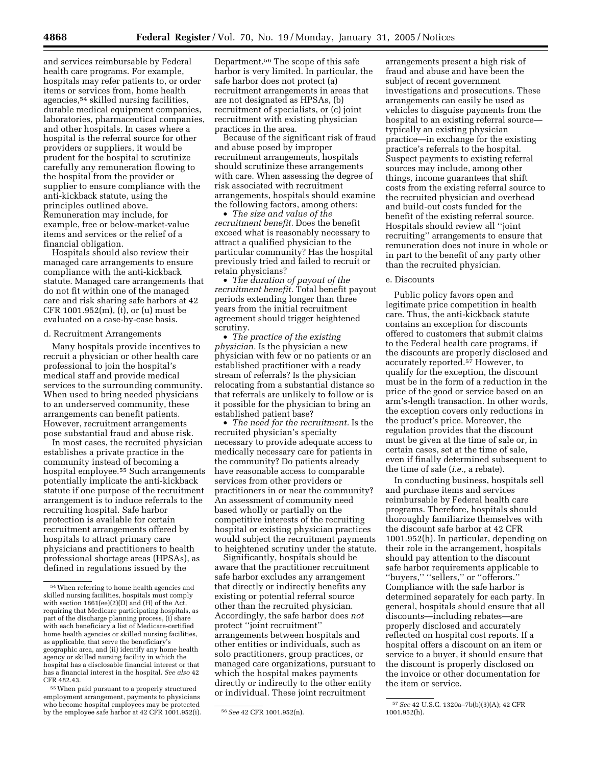and services reimbursable by Federal health care programs. For example, hospitals may refer patients to, or order items or services from, home health agencies,54 skilled nursing facilities, durable medical equipment companies, laboratories, pharmaceutical companies, and other hospitals. In cases where a hospital is the referral source for other providers or suppliers, it would be prudent for the hospital to scrutinize carefully any remuneration flowing to the hospital from the provider or supplier to ensure compliance with the anti-kickback statute, using the principles outlined above. Remuneration may include, for example, free or below-market-value items and services or the relief of a financial obligation.

Hospitals should also review their managed care arrangements to ensure compliance with the anti-kickback statute. Managed care arrangements that do not fit within one of the managed care and risk sharing safe harbors at 42 CFR 1001.952(m), (t), or (u) must be evaluated on a case-by-case basis.

# d. Recruitment Arrangements

Many hospitals provide incentives to recruit a physician or other health care professional to join the hospital's medical staff and provide medical services to the surrounding community. When used to bring needed physicians to an underserved community, these arrangements can benefit patients. However, recruitment arrangements pose substantial fraud and abuse risk.

In most cases, the recruited physician establishes a private practice in the community instead of becoming a hospital employee.55 Such arrangements potentially implicate the anti-kickback statute if one purpose of the recruitment arrangement is to induce referrals to the recruiting hospital. Safe harbor protection is available for certain recruitment arrangements offered by hospitals to attract primary care physicians and practitioners to health professional shortage areas (HPSAs), as defined in regulations issued by the

Department.56 The scope of this safe harbor is very limited. In particular, the safe harbor does not protect (a) recruitment arrangements in areas that are not designated as HPSAs, (b) recruitment of specialists, or (c) joint recruitment with existing physician practices in the area.

Because of the significant risk of fraud and abuse posed by improper recruitment arrangements, hospitals should scrutinize these arrangements with care. When assessing the degree of risk associated with recruitment arrangements, hospitals should examine the following factors, among others:

• *The size and value of the recruitment benefit.* Does the benefit exceed what is reasonably necessary to attract a qualified physician to the particular community? Has the hospital previously tried and failed to recruit or retain physicians?

• *The duration of payout of the recruitment benefit.* Total benefit payout periods extending longer than three years from the initial recruitment agreement should trigger heightened scrutiny.

• *The practice of the existing physician.* Is the physician a new physician with few or no patients or an established practitioner with a ready stream of referrals? Is the physician relocating from a substantial distance so that referrals are unlikely to follow or is it possible for the physician to bring an established patient base?

• *The need for the recruitment.* Is the recruited physician's specialty necessary to provide adequate access to medically necessary care for patients in the community? Do patients already have reasonable access to comparable services from other providers or practitioners in or near the community? An assessment of community need based wholly or partially on the competitive interests of the recruiting hospital or existing physician practices would subject the recruitment payments to heightened scrutiny under the statute.

Significantly, hospitals should be aware that the practitioner recruitment safe harbor excludes any arrangement that directly or indirectly benefits any existing or potential referral source other than the recruited physician. Accordingly, the safe harbor does *not* protect ''joint recruitment'' arrangements between hospitals and other entities or individuals, such as solo practitioners, group practices, or managed care organizations, pursuant to which the hospital makes payments directly or indirectly to the other entity or individual. These joint recruitment

arrangements present a high risk of fraud and abuse and have been the subject of recent government investigations and prosecutions. These arrangements can easily be used as vehicles to disguise payments from the hospital to an existing referral source typically an existing physician practice—in exchange for the existing practice's referrals to the hospital. Suspect payments to existing referral sources may include, among other things, income guarantees that shift costs from the existing referral source to the recruited physician and overhead and build-out costs funded for the benefit of the existing referral source. Hospitals should review all ''joint recruiting'' arrangements to ensure that remuneration does not inure in whole or in part to the benefit of any party other than the recruited physician.

#### e. Discounts

Public policy favors open and legitimate price competition in health care. Thus, the anti-kickback statute contains an exception for discounts offered to customers that submit claims to the Federal health care programs, if the discounts are properly disclosed and accurately reported.57 However, to qualify for the exception, the discount must be in the form of a reduction in the price of the good or service based on an arm's-length transaction. In other words, the exception covers only reductions in the product's price. Moreover, the regulation provides that the discount must be given at the time of sale or, in certain cases, set at the time of sale, even if finally determined subsequent to the time of sale (*i.e.,* a rebate).

In conducting business, hospitals sell and purchase items and services reimbursable by Federal health care programs. Therefore, hospitals should thoroughly familiarize themselves with the discount safe harbor at 42 CFR 1001.952(h). In particular, depending on their role in the arrangement, hospitals should pay attention to the discount safe harbor requirements applicable to ''buyers,'' ''sellers,'' or ''offerors.'' Compliance with the safe harbor is determined separately for each party. In general, hospitals should ensure that all discounts—including rebates—are properly disclosed and accurately reflected on hospital cost reports. If a hospital offers a discount on an item or service to a buyer, it should ensure that the discount is properly disclosed on the invoice or other documentation for the item or service.

<sup>54</sup>When referring to home health agencies and skilled nursing facilities, hospitals must comply with section 1861(ee)(2)(D) and (H) of the Act, requiring that Medicare participating hospitals, as part of the discharge planning process, (i) share with each beneficiary a list of Medicare-certified home health agencies or skilled nursing facilities, as applicable, that serve the beneficiary's geographic area, and (ii) identify any home health agency or skilled nursing facility in which the hospital has a disclosable financial interest or that has a financial interest in the hospital. *See also* 42 CFR 482.43.

<sup>55</sup>When paid pursuant to a properly structured employment arrangement, payments to physicians who become hospital employees may be protected by the employee safe harbor at 42 CFR 1001.952(i). 56*See* 42 CFR 1001.952(n).

<sup>57</sup>*See* 42 U.S.C. 1320a–7b(b)(3)(A); 42 CFR 1001.952(h).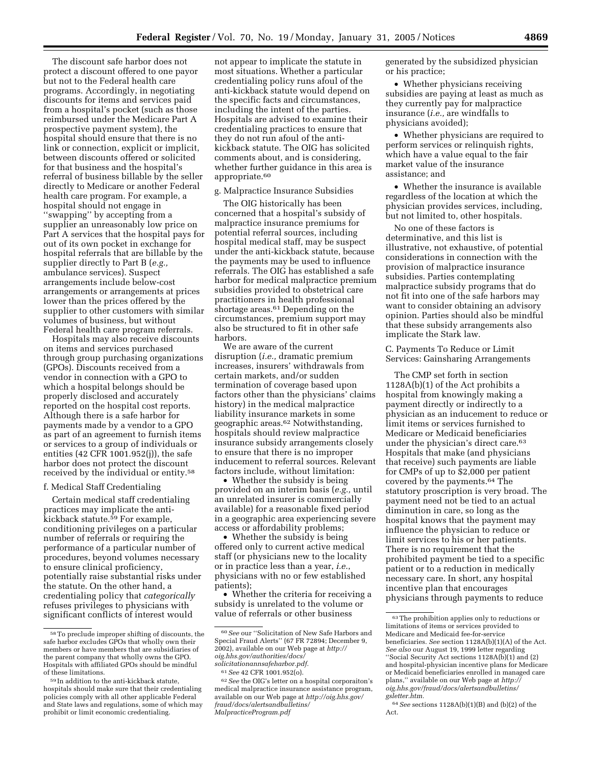The discount safe harbor does not protect a discount offered to one payor but not to the Federal health care programs. Accordingly, in negotiating discounts for items and services paid from a hospital's pocket (such as those reimbursed under the Medicare Part A prospective payment system), the hospital should ensure that there is no link or connection, explicit or implicit, between discounts offered or solicited for that business and the hospital's referral of business billable by the seller directly to Medicare or another Federal health care program. For example, a hospital should not engage in ''swapping'' by accepting from a supplier an unreasonably low price on Part A services that the hospital pays for out of its own pocket in exchange for hospital referrals that are billable by the supplier directly to Part B (*e.g.,* ambulance services). Suspect arrangements include below-cost arrangements or arrangements at prices lower than the prices offered by the supplier to other customers with similar volumes of business, but without Federal health care program referrals.

Hospitals may also receive discounts on items and services purchased through group purchasing organizations (GPOs). Discounts received from a vendor in connection with a GPO to which a hospital belongs should be properly disclosed and accurately reported on the hospital cost reports. Although there is a safe harbor for payments made by a vendor to a GPO as part of an agreement to furnish items or services to a group of individuals or entities (42 CFR 1001.952(j)), the safe harbor does not protect the discount received by the individual or entity.58

## f. Medical Staff Credentialing

Certain medical staff credentialing practices may implicate the antikickback statute.59 For example, conditioning privileges on a particular number of referrals or requiring the performance of a particular number of procedures, beyond volumes necessary to ensure clinical proficiency, potentially raise substantial risks under the statute. On the other hand, a credentialing policy that *categorically* refuses privileges to physicians with significant conflicts of interest would

not appear to implicate the statute in most situations. Whether a particular credentialing policy runs afoul of the anti-kickback statute would depend on the specific facts and circumstances, including the intent of the parties. Hospitals are advised to examine their credentialing practices to ensure that they do not run afoul of the antikickback statute. The OIG has solicited comments about, and is considering, whether further guidance in this area is appropriate.60

## g. Malpractice Insurance Subsidies

The OIG historically has been concerned that a hospital's subsidy of malpractice insurance premiums for potential referral sources, including hospital medical staff, may be suspect under the anti-kickback statute, because the payments may be used to influence referrals. The OIG has established a safe harbor for medical malpractice premium subsidies provided to obstetrical care practitioners in health professional shortage areas.<sup>61</sup> Depending on the circumstances, premium support may also be structured to fit in other safe harbors.

We are aware of the current disruption (*i.e.,* dramatic premium increases, insurers' withdrawals from certain markets, and/or sudden termination of coverage based upon factors other than the physicians' claims history) in the medical malpractice liability insurance markets in some geographic areas.62 Notwithstanding, hospitals should review malpractice insurance subsidy arrangements closely to ensure that there is no improper inducement to referral sources. Relevant factors include, without limitation:

• Whether the subsidy is being provided on an interim basis (*e.g.,* until an unrelated insurer is commercially available) for a reasonable fixed period in a geographic area experiencing severe access or affordability problems;

• Whether the subsidy is being offered only to current active medical staff (or physicians new to the locality or in practice less than a year, *i.e.*, physicians with no or few established patients);

• Whether the criteria for receiving a subsidy is unrelated to the volume or value of referrals or other business

generated by the subsidized physician or his practice;

• Whether physicians receiving subsidies are paying at least as much as they currently pay for malpractice insurance (*i.e.,* are windfalls to physicians avoided);

• Whether physicians are required to perform services or relinquish rights, which have a value equal to the fair market value of the insurance assistance; and

• Whether the insurance is available regardless of the location at which the physician provides services, including, but not limited to, other hospitals.

No one of these factors is determinative, and this list is illustrative, not exhaustive, of potential considerations in connection with the provision of malpractice insurance subsidies. Parties contemplating malpractice subsidy programs that do not fit into one of the safe harbors may want to consider obtaining an advisory opinion. Parties should also be mindful that these subsidy arrangements also implicate the Stark law.

C. Payments To Reduce or Limit Services: Gainsharing Arrangements

The CMP set forth in section 1128A(b)(1) of the Act prohibits a hospital from knowingly making a payment directly or indirectly to a physician as an inducement to reduce or limit items or services furnished to Medicare or Medicaid beneficiaries under the physician's direct care.63 Hospitals that make (and physicians that receive) such payments are liable for CMPs of up to \$2,000 per patient covered by the payments.64 The statutory proscription is very broad. The payment need not be tied to an actual diminution in care, so long as the hospital knows that the payment may influence the physician to reduce or limit services to his or her patients. There is no requirement that the prohibited payment be tied to a specific patient or to a reduction in medically necessary care. In short, any hospital incentive plan that encourages physicians through payments to reduce

<sup>58</sup>To preclude improper shifting of discounts, the safe harbor excludes GPOs that wholly own their members or have members that are subsidiaries of the parent company that wholly owns the GPO. Hospitals with affiliated GPOs should be mindful of these limitations.

<sup>59</sup> In addition to the anti-kickback statute, hospitals should make sure that their credentialing policies comply with all other applicable Federal and State laws and regulations, some of which may prohibit or limit economic credentialing.

<sup>60</sup>*See* our ''Solicitation of New Safe Harbors and Special Fraud Alerts'' (67 FR 72894; December 9, 2002), available on our Web page at *http:// oig.hhs.gov/authorities/docs/ solicitationannsafeharbor.pdf.*

<sup>61</sup>*See* 42 CFR 1001.952(o).

<sup>62</sup>*See* the OIG's letter on a hospital corporaiton's medical malpractice insurance assistance program, available on our Web page at *http://oig.hhs.gov/ fraud/docs/alertsandbulletins/ MalpracticeProgram.pdf*

<sup>63</sup>The prohibition applies only to reductions or limitations of items or services provided to Medicare and Medicaid fee-for-service beneficiaries. *See* section 1128A(b)(1)(A) of the Act. *See also* our August 19, 1999 letter regarding ''Social Security Act sections 1128A(b)(1) and (2) and hospital-physician incentive plans for Medicare or Medicaid beneficiaries enrolled in managed care plans,'' available on our Web page at *http:// oig.hhs.gov/fraud/docs/alertsandbulletins/ gsletter.htm.*

<sup>64</sup>*See* sections 1128A(b)(1)(B) and (b)(2) of the Act.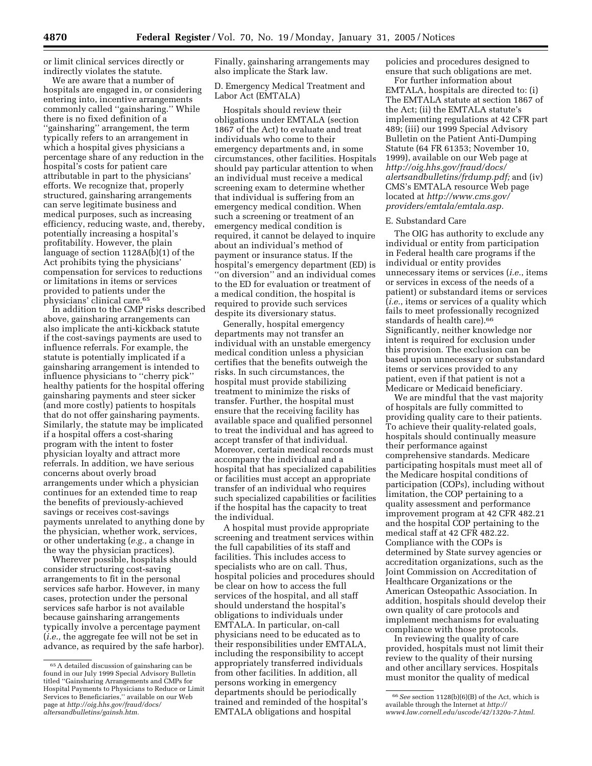or limit clinical services directly or indirectly violates the statute.

We are aware that a number of hospitals are engaged in, or considering entering into, incentive arrangements commonly called ''gainsharing.'' While there is no fixed definition of a ''gainsharing'' arrangement, the term typically refers to an arrangement in which a hospital gives physicians a percentage share of any reduction in the hospital's costs for patient care attributable in part to the physicians' efforts. We recognize that, properly structured, gainsharing arrangements can serve legitimate business and medical purposes, such as increasing efficiency, reducing waste, and, thereby, potentially increasing a hospital's profitability. However, the plain language of section 1128A(b)(1) of the Act prohibits tying the physicians' compensation for services to reductions or limitations in items or services provided to patients under the physicians' clinical care.65

In addition to the CMP risks described above, gainsharing arrangements can also implicate the anti-kickback statute if the cost-savings payments are used to influence referrals. For example, the statute is potentially implicated if a gainsharing arrangement is intended to influence physicians to ''cherry pick'' healthy patients for the hospital offering gainsharing payments and steer sicker (and more costly) patients to hospitals that do not offer gainsharing payments. Similarly, the statute may be implicated if a hospital offers a cost-sharing program with the intent to foster physician loyalty and attract more referrals. In addition, we have serious concerns about overly broad arrangements under which a physician continues for an extended time to reap the benefits of previously-achieved savings or receives cost-savings payments unrelated to anything done by the physician, whether work, services, or other undertaking (*e.g.,* a change in the way the physician practices).

Wherever possible, hospitals should consider structuring cost-saving arrangements to fit in the personal services safe harbor. However, in many cases, protection under the personal services safe harbor is not available because gainsharing arrangements typically involve a percentage payment (*i.e.,* the aggregate fee will not be set in advance, as required by the safe harbor). Finally, gainsharing arrangements may also implicate the Stark law.

D. Emergency Medical Treatment and Labor Act (EMTALA)

Hospitals should review their obligations under EMTALA (section 1867 of the Act) to evaluate and treat individuals who come to their emergency departments and, in some circumstances, other facilities. Hospitals should pay particular attention to when an individual must receive a medical screening exam to determine whether that individual is suffering from an emergency medical condition. When such a screening or treatment of an emergency medical condition is required, it cannot be delayed to inquire about an individual's method of payment or insurance status. If the hospital's emergency department (ED) is ''on diversion'' and an individual comes to the ED for evaluation or treatment of a medical condition, the hospital is required to provide such services despite its diversionary status.

Generally, hospital emergency departments may not transfer an individual with an unstable emergency medical condition unless a physician certifies that the benefits outweigh the risks. In such circumstances, the hospital must provide stabilizing treatment to minimize the risks of transfer. Further, the hospital must ensure that the receiving facility has available space and qualified personnel to treat the individual and has agreed to accept transfer of that individual. Moreover, certain medical records must accompany the individual and a hospital that has specialized capabilities or facilities must accept an appropriate transfer of an individual who requires such specialized capabilities or facilities if the hospital has the capacity to treat the individual.

A hospital must provide appropriate screening and treatment services within the full capabilities of its staff and facilities. This includes access to specialists who are on call. Thus, hospital policies and procedures should be clear on how to access the full services of the hospital, and all staff should understand the hospital's obligations to individuals under EMTALA. In particular, on-call physicians need to be educated as to their responsibilities under EMTALA, including the responsibility to accept appropriately transferred individuals from other facilities. In addition, all persons working in emergency departments should be periodically trained and reminded of the hospital's EMTALA obligations and hospital

policies and procedures designed to ensure that such obligations are met.

For further information about EMTALA, hospitals are directed to: (i) The EMTALA statute at section 1867 of the Act; (ii) the EMTALA statute's implementing regulations at 42 CFR part 489; (iii) our 1999 Special Advisory Bulletin on the Patient Anti-Dumping Statute (64 FR 61353; November 10, 1999), available on our Web page at *http://oig.hhs.gov/fraud/docs/ alertsandbulletins/frdump.pdf;* and (iv) CMS's EMTALA resource Web page located at *http://www.cms.gov/ providers/emtala/emtala.asp.*

## E. Substandard Care

The OIG has authority to exclude any individual or entity from participation in Federal health care programs if the individual or entity provides unnecessary items or services (*i.e.*, items or services in excess of the needs of a patient) or substandard items or services (*i.e.*, items or services of a quality which fails to meet professionally recognized standards of health care).<sup>66</sup> Significantly, neither knowledge nor intent is required for exclusion under this provision. The exclusion can be based upon unnecessary or substandard items or services provided to any patient, even if that patient is not a Medicare or Medicaid beneficiary.

We are mindful that the vast majority of hospitals are fully committed to providing quality care to their patients. To achieve their quality-related goals, hospitals should continually measure their performance against comprehensive standards. Medicare participating hospitals must meet all of the Medicare hospital conditions of participation (COPs), including without limitation, the COP pertaining to a quality assessment and performance improvement program at 42 CFR 482.21 and the hospital COP pertaining to the medical staff at 42 CFR 482.22. Compliance with the COPs is determined by State survey agencies or accreditation organizations, such as the Joint Commission on Accreditation of Healthcare Organizations or the American Osteopathic Association. In addition, hospitals should develop their own quality of care protocols and implement mechanisms for evaluating compliance with those protocols.

In reviewing the quality of care provided, hospitals must not limit their review to the quality of their nursing and other ancillary services. Hospitals must monitor the quality of medical

<sup>65</sup>A detailed discussion of gainsharing can be found in our July 1999 Special Advisory Bulletin titled ''Gainsharing Arrangements and CMPs for Hospital Payments to Physicians to Reduce or Limit Services to Beneficiaries,'' available on our Web page at *http://oig.hhs.gov/fraud/docs/ altersandbulletins/gainsh.htm.*

<sup>66</sup>*See* section 1128(b)(6)(B) of the Act, which is available through the Internet at *http:// www4.law.cornell.edu/uscode/42/1320a-7.html.*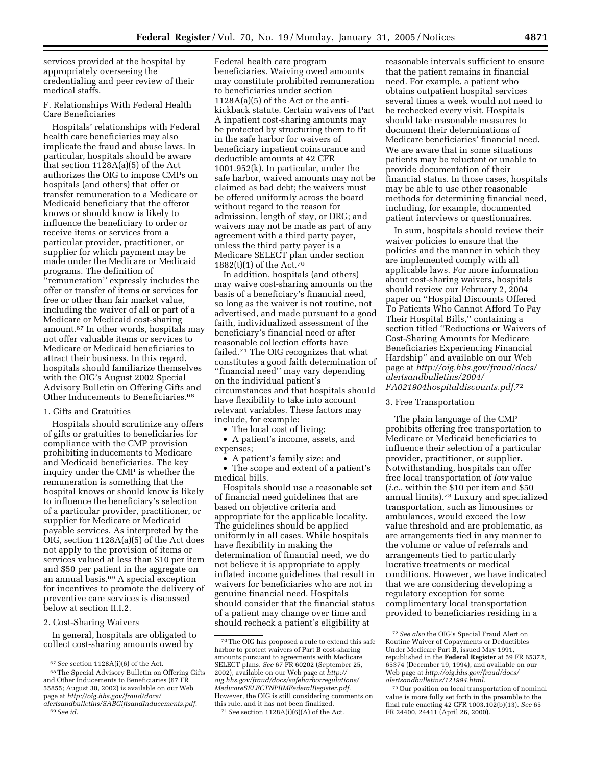services provided at the hospital by appropriately overseeing the credentialing and peer review of their medical staffs.

F. Relationships With Federal Health Care Beneficiaries

Hospitals' relationships with Federal health care beneficiaries may also implicate the fraud and abuse laws. In particular, hospitals should be aware that section 1128A(a)(5) of the Act authorizes the OIG to impose CMPs on hospitals (and others) that offer or transfer remuneration to a Medicare or Medicaid beneficiary that the offeror knows or should know is likely to influence the beneficiary to order or receive items or services from a particular provider, practitioner, or supplier for which payment may be made under the Medicare or Medicaid programs. The definition of ''remuneration'' expressly includes the offer or transfer of items or services for free or other than fair market value, including the waiver of all or part of a Medicare or Medicaid cost-sharing amount.67 In other words, hospitals may not offer valuable items or services to Medicare or Medicaid beneficiaries to attract their business. In this regard, hospitals should familiarize themselves with the OIG's August 2002 Special Advisory Bulletin on Offering Gifts and Other Inducements to Beneficiaries.68

## 1. Gifts and Gratuities

Hospitals should scrutinize any offers of gifts or gratuities to beneficiaries for compliance with the CMP provision prohibiting inducements to Medicare and Medicaid beneficiaries. The key inquiry under the CMP is whether the remuneration is something that the hospital knows or should know is likely to influence the beneficiary's selection of a particular provider, practitioner, or supplier for Medicare or Medicaid payable services. As interpreted by the OIG, section 1128A(a)(5) of the Act does not apply to the provision of items or services valued at less than \$10 per item and \$50 per patient in the aggregate on an annual basis.69 A special exception for incentives to promote the delivery of preventive care services is discussed below at section II.I.2.

# 2. Cost-Sharing Waivers

In general, hospitals are obligated to collect cost-sharing amounts owed by

In addition, hospitals (and others) may waive cost-sharing amounts on the basis of a beneficiary's financial need, so long as the waiver is not routine, not advertised, and made pursuant to a good faith, individualized assessment of the beneficiary's financial need or after reasonable collection efforts have failed.71 The OIG recognizes that what constitutes a good faith determination of ''financial need'' may vary depending on the individual patient's circumstances and that hospitals should have flexibility to take into account relevant variables. These factors may include, for example:

• The local cost of living;

• A patient's income, assets, and expenses;

• A patient's family size; and

• The scope and extent of a patient's medical bills.

Hospitals should use a reasonable set of financial need guidelines that are based on objective criteria and appropriate for the applicable locality. The guidelines should be applied uniformly in all cases. While hospitals have flexibility in making the determination of financial need, we do not believe it is appropriate to apply inflated income guidelines that result in waivers for beneficiaries who are not in genuine financial need. Hospitals should consider that the financial status of a patient may change over time and should recheck a patient's eligibility at

reasonable intervals sufficient to ensure that the patient remains in financial need. For example, a patient who obtains outpatient hospital services several times a week would not need to be rechecked every visit. Hospitals should take reasonable measures to document their determinations of Medicare beneficiaries' financial need. We are aware that in some situations patients may be reluctant or unable to provide documentation of their financial status. In those cases, hospitals may be able to use other reasonable methods for determining financial need, including, for example, documented patient interviews or questionnaires.

In sum, hospitals should review their waiver policies to ensure that the policies and the manner in which they are implemented comply with all applicable laws. For more information about cost-sharing waivers, hospitals should review our February 2, 2004 paper on ''Hospital Discounts Offered To Patients Who Cannot Afford To Pay Their Hospital Bills,'' containing a section titled ''Reductions or Waivers of Cost-Sharing Amounts for Medicare Beneficiaries Experiencing Financial Hardship'' and available on our Web page at *http://oig.hhs.gov/fraud/docs/ alertsandbulletins/2004/ FA021904hospitaldiscounts.pdf.*72

## 3. Free Transportation

The plain language of the CMP prohibits offering free transportation to Medicare or Medicaid beneficiaries to influence their selection of a particular provider, practitioner, or supplier. Notwithstanding, hospitals can offer free local transportation of *low* value (*i.e.*, within the \$10 per item and \$50 annual limits).73 Luxury and specialized transportation, such as limousines or ambulances, would exceed the low value threshold and are problematic, as are arrangements tied in any manner to the volume or value of referrals and arrangements tied to particularly lucrative treatments or medical conditions. However, we have indicated that we are considering developing a regulatory exception for some complimentary local transportation provided to beneficiaries residing in a

<sup>67</sup>*See* section 1128A(i)(6) of the Act.

 $^{68}\mathrm{The}$  Special Advisory Bulletin on Offering Gifts and Other Inducements to Beneficiaries (67 FR 55855; August 30, 2002) is available on our Web page at *http://oig.hhs.gov/fraud/docs/ alertsandbulletins/SABGiftsandInducements.pdf.* 69*See id.*

Federal health care program beneficiaries. Waiving owed amounts may constitute prohibited remuneration to beneficiaries under section 1128A(a)(5) of the Act or the antikickback statute. Certain waivers of Part A inpatient cost-sharing amounts may be protected by structuring them to fit in the safe harbor for waivers of beneficiary inpatient coinsurance and deductible amounts at 42 CFR 1001.952(k). In particular, under the safe harbor, waived amounts may not be claimed as bad debt; the waivers must be offered uniformly across the board without regard to the reason for admission, length of stay, or DRG; and waivers may not be made as part of any agreement with a third party payer, unless the third party payer is a Medicare SELECT plan under section 1882(t)(1) of the Act.70

<sup>70</sup>The OIG has proposed a rule to extend this safe harbor to protect waivers of Part B cost-sharing amounts pursuant to agreements with Medicare SELECT plans. *See* 67 FR 60202 (September 25, 2002), available on our Web page at *http:// oig.hhs.gov/fraud/docs/safeharborregulations/ MedicareSELECTNPRMFederalRegister.pdf.* However, the OIG is still considering comments on this rule, and it has not been finalized.

<sup>71</sup>*See* section 1128A(i)(6)(A) of the Act.

<sup>72</sup>*See also* the OIG's Special Fraud Alert on Routine Waiver of Copayments or Deductibles Under Medicare Part B, issued May 1991, republished in the **Federal Register** at 59 FR 65372, 65374 (December 19, 1994), and available on our Web page at *http://oig.hhs.gov/fraud/docs/ alertsandbulletins/121994.html.*

<sup>73</sup>Our position on local transportation of nominal value is more fully set forth in the preamble to the final rule enacting 42 CFR 1003.102(b)(13). *See* 65 FR 24400, 24411 (April 26, 2000).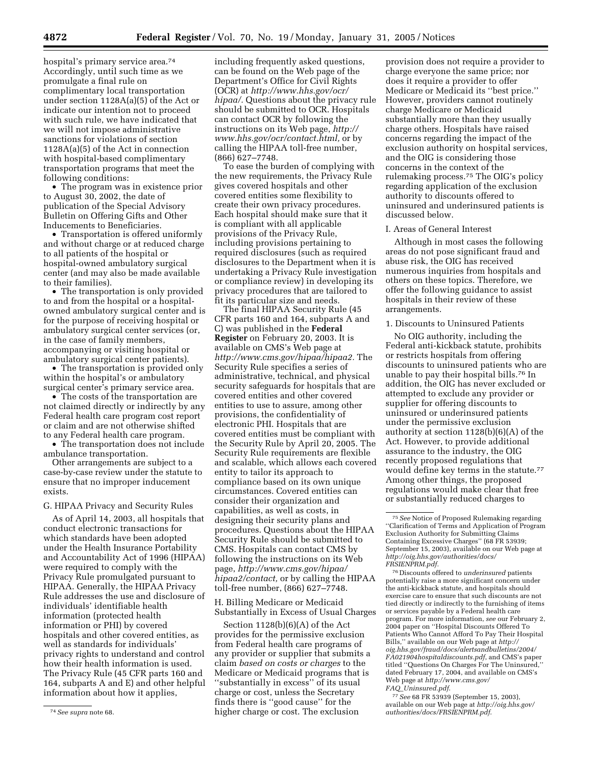hospital's primary service area.74 Accordingly, until such time as we promulgate a final rule on complimentary local transportation under section 1128A(a)(5) of the Act or indicate our intention not to proceed with such rule, we have indicated that we will not impose administrative sanctions for violations of section 1128A(a)(5) of the Act in connection with hospital-based complimentary transportation programs that meet the following conditions:

• The program was in existence prior to August 30, 2002, the date of publication of the Special Advisory Bulletin on Offering Gifts and Other Inducements to Beneficiaries.

• Transportation is offered uniformly and without charge or at reduced charge to all patients of the hospital or hospital-owned ambulatory surgical center (and may also be made available to their families).

• The transportation is only provided to and from the hospital or a hospitalowned ambulatory surgical center and is for the purpose of receiving hospital or ambulatory surgical center services (or, in the case of family members, accompanying or visiting hospital or ambulatory surgical center patients).

• The transportation is provided only within the hospital's or ambulatory surgical center's primary service area.

• The costs of the transportation are not claimed directly or indirectly by any Federal health care program cost report or claim and are not otherwise shifted to any Federal health care program.

• The transportation does not include ambulance transportation.

Other arrangements are subject to a case-by-case review under the statute to ensure that no improper inducement exists.

G. HIPAA Privacy and Security Rules

As of April 14, 2003, all hospitals that conduct electronic transactions for which standards have been adopted under the Health Insurance Portability and Accountability Act of 1996 (HIPAA) were required to comply with the Privacy Rule promulgated pursuant to HIPAA. Generally, the HIPAA Privacy Rule addresses the use and disclosure of individuals' identifiable health information (protected health information or PHI) by covered hospitals and other covered entities, as well as standards for individuals' privacy rights to understand and control how their health information is used. The Privacy Rule (45 CFR parts 160 and 164, subparts A and E) and other helpful information about how it applies,

including frequently asked questions, can be found on the Web page of the Department's Office for Civil Rights (OCR) at *http://www.hhs.gov/ocr/ hipaa/.* Questions about the privacy rule should be submitted to OCR. Hospitals can contact OCR by following the instructions on its Web page, *http:// www.hhs.gov/ocr/contact.html,* or by calling the HIPAA toll-free number, (866) 627–7748.

To ease the burden of complying with the new requirements, the Privacy Rule gives covered hospitals and other covered entities some flexibility to create their own privacy procedures. Each hospital should make sure that it is compliant with all applicable provisions of the Privacy Rule, including provisions pertaining to required disclosures (such as required disclosures to the Department when it is undertaking a Privacy Rule investigation or compliance review) in developing its privacy procedures that are tailored to fit its particular size and needs.

The final HIPAA Security Rule (45 CFR parts 160 and 164, subparts A and C) was published in the **Federal Register** on February 20, 2003. It is available on CMS's Web page at *http://www.cms.gov/hipaa/hipaa2.* The Security Rule specifies a series of administrative, technical, and physical security safeguards for hospitals that are covered entities and other covered entities to use to assure, among other provisions, the confidentiality of electronic PHI. Hospitals that are covered entities must be compliant with the Security Rule by April 20, 2005. The Security Rule requirements are flexible and scalable, which allows each covered entity to tailor its approach to compliance based on its own unique circumstances. Covered entities can consider their organization and capabilities, as well as costs, in designing their security plans and procedures. Questions about the HIPAA Security Rule should be submitted to CMS. Hospitals can contact CMS by following the instructions on its Web page, *http://www.cms.gov/hipaa/ hipaa2/contact,* or by calling the HIPAA toll-free number, (866) 627–7748.

H. Billing Medicare or Medicaid Substantially in Excess of Usual Charges

Section 1128(b)(6)(A) of the Act provides for the permissive exclusion from Federal health care programs of any provider or supplier that submits a claim *based on costs or charges* to the Medicare or Medicaid programs that is ''substantially in excess'' of its usual charge or cost, unless the Secretary finds there is ''good cause'' for the higher charge or cost. The exclusion

provision does not require a provider to charge everyone the same price; nor does it require a provider to offer Medicare or Medicaid its ''best price.'' However, providers cannot routinely charge Medicare or Medicaid substantially more than they usually charge others. Hospitals have raised concerns regarding the impact of the exclusion authority on hospital services, and the OIG is considering those concerns in the context of the rulemaking process.75 The OIG's policy regarding application of the exclusion authority to discounts offered to uninsured and underinsured patients is discussed below.

### I. Areas of General Interest

Although in most cases the following areas do not pose significant fraud and abuse risk, the OIG has received numerous inquiries from hospitals and others on these topics. Therefore, we offer the following guidance to assist hospitals in their review of these arrangements.

## 1. Discounts to Uninsured Patients

No OIG authority, including the Federal anti-kickback statute, prohibits or restricts hospitals from offering discounts to uninsured patients who are unable to pay their hospital bills.76 In addition, the OIG has never excluded or attempted to exclude any provider or supplier for offering discounts to uninsured or underinsured patients under the permissive exclusion authority at section 1128(b)(6)(A) of the Act. However, to provide additional assurance to the industry, the OIG recently proposed regulations that would define key terms in the statute.77 Among other things, the proposed regulations would make clear that free or substantially reduced charges to

76 Discounts offered to *underinsured* patients potentially raise a more significant concern under the anti-kickback statute, and hospitals should exercise care to ensure that such discounts are not tied directly or indirectly to the furnishing of items or services payable by a Federal health care program. For more information, *see* our February 2, 2004 paper on ''Hospital Discounts Offered To Patients Who Cannot Afford To Pay Their Hospital Bills,'' available on our Web page at *http:// oig.hhs.gov/fraud/docs/alertsandbulletins/2004/ FA021904hospitaldiscounts.pdf*, and CMS's paper titled ''Questions On Charges For The Uninsured,'' dated February 17, 2004, and available on CMS's Web page at *http://www.cms.gov/ FAQ*\_*Uninsured.pdf*.

77*See* 68 FR 53939 (September 15, 2003), available on our Web page at *http://oig.hhs.gov/ authorities/docs/FRSIENPRM.pdf*.

<sup>74</sup>*See supra* note 68.

<sup>75</sup>*See* Notice of Proposed Rulemaking regarding ''Clarification of Terms and Application of Program Exclusion Authority for Submitting Claims Containing Excessive Charges'' (68 FR 53939; September 15, 2003), available on our Web page at *http://oig.hhs.gov/authorities/docs/ FRSIENPRM.pdf.*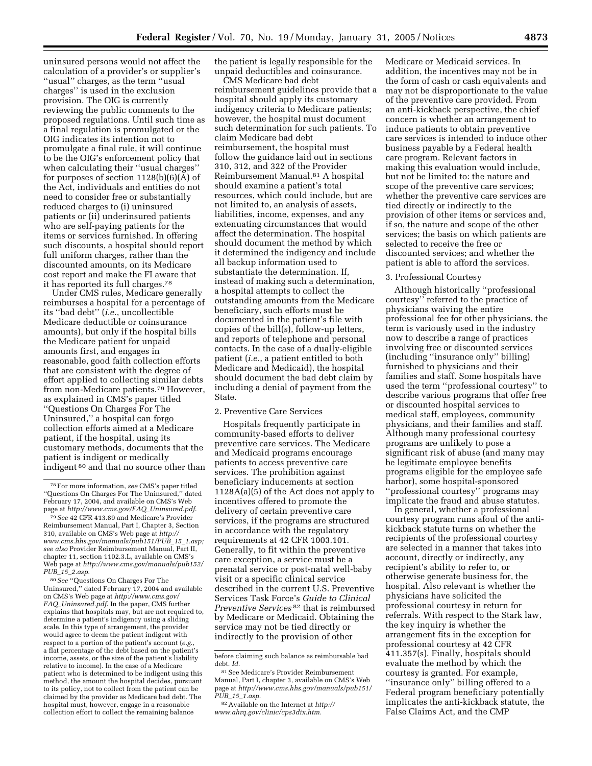uninsured persons would not affect the calculation of a provider's or supplier's ''usual'' charges, as the term ''usual charges'' is used in the exclusion provision. The OIG is currently reviewing the public comments to the proposed regulations. Until such time as a final regulation is promulgated or the OIG indicates its intention not to promulgate a final rule, it will continue to be the OIG's enforcement policy that when calculating their ''usual charges'' for purposes of section 1128(b)(6)(A) of the Act, individuals and entities do not need to consider free or substantially reduced charges to (i) uninsured patients or (ii) underinsured patients who are self-paying patients for the items or services furnished. In offering such discounts, a hospital should report full uniform charges, rather than the discounted amounts, on its Medicare cost report and make the FI aware that it has reported its full charges.78

Under CMS rules, Medicare generally reimburses a hospital for a percentage of its ''bad debt'' (*i.e.*, uncollectible Medicare deductible or coinsurance amounts), but only if the hospital bills the Medicare patient for unpaid amounts first, and engages in reasonable, good faith collection efforts that are consistent with the degree of effort applied to collecting similar debts from non-Medicare patients.79 However, as explained in CMS's paper titled ''Questions On Charges For The Uninsured,'' a hospital can forgo collection efforts aimed at a Medicare patient, if the hospital, using its customary methods, documents that the patient is indigent or medically indigent 80 and that no source other than

80*See* ''Questions On Charges For The Uninsured,'' dated February 17, 2004 and available on CMS's Web page at *http://www.cms.gov/ FAQ*\_*Uninsured.pdf*. In the paper, CMS further explains that hospitals may, but are not required to, determine a patient's indigency using a sliding scale. In this type of arrangement, the provider would agree to deem the patient indigent with respect to a portion of the patient's account (*e.g.*, a flat percentage of the debt based on the patient's income, assets, or the size of the patient's liability relative to income). In the case of a Medicare patient who is determined to be indigent using this method, the amount the hospital decides, pursuant to its policy, not to collect from the patient can be claimed by the provider as Medicare bad debt. The hospital must, however, engage in a reasonable collection effort to collect the remaining balance

the patient is legally responsible for the unpaid deductibles and coinsurance.

CMS Medicare bad debt reimbursement guidelines provide that a hospital should apply its customary indigency criteria to Medicare patients; however, the hospital must document such determination for such patients. To claim Medicare bad debt reimbursement, the hospital must follow the guidance laid out in sections 310, 312, and 322 of the Provider Reimbursement Manual.81 A hospital should examine a patient's total resources, which could include, but are not limited to, an analysis of assets, liabilities, income, expenses, and any extenuating circumstances that would affect the determination. The hospital should document the method by which it determined the indigency and include all backup information used to substantiate the determination. If, instead of making such a determination, a hospital attempts to collect the outstanding amounts from the Medicare beneficiary, such efforts must be documented in the patient's file with copies of the bill(s), follow-up letters, and reports of telephone and personal contacts. In the case of a dually-eligible patient (*i.e.*, a patient entitled to both Medicare and Medicaid), the hospital should document the bad debt claim by including a denial of payment from the State.

## 2. Preventive Care Services

Hospitals frequently participate in community-based efforts to deliver preventive care services. The Medicare and Medicaid programs encourage patients to access preventive care services. The prohibition against beneficiary inducements at section 1128A(a)(5) of the Act does not apply to incentives offered to promote the delivery of certain preventive care services, if the programs are structured in accordance with the regulatory requirements at 42 CFR 1003.101. Generally, to fit within the preventive care exception, a service must be a prenatal service or post-natal well-baby visit or a specific clinical service described in the current U.S. Preventive Services Task Force's *Guide to Clinical Preventive Services* 82 that is reimbursed by Medicare or Medicaid. Obtaining the service may not be tied directly or indirectly to the provision of other

Medicare or Medicaid services. In addition, the incentives may not be in the form of cash or cash equivalents and may not be disproportionate to the value of the preventive care provided. From an anti-kickback perspective, the chief concern is whether an arrangement to induce patients to obtain preventive care services is intended to induce other business payable by a Federal health care program. Relevant factors in making this evaluation would include, but not be limited to: the nature and scope of the preventive care services; whether the preventive care services are tied directly or indirectly to the provision of other items or services and, if so, the nature and scope of the other services; the basis on which patients are selected to receive the free or discounted services; and whether the patient is able to afford the services.

#### 3. Professional Courtesy

Although historically ''professional courtesy'' referred to the practice of physicians waiving the entire professional fee for other physicians, the term is variously used in the industry now to describe a range of practices involving free or discounted services (including ''insurance only'' billing) furnished to physicians and their families and staff. Some hospitals have used the term ''professional courtesy'' to describe various programs that offer free or discounted hospital services to medical staff, employees, community physicians, and their families and staff. Although many professional courtesy programs are unlikely to pose a significant risk of abuse (and many may be legitimate employee benefits programs eligible for the employee safe harbor), some hospital-sponsored ''professional courtesy'' programs may implicate the fraud and abuse statutes.

In general, whether a professional courtesy program runs afoul of the antikickback statute turns on whether the recipients of the professional courtesy are selected in a manner that takes into account, directly or indirectly, any recipient's ability to refer to, or otherwise generate business for, the hospital. Also relevant is whether the physicians have solicited the professional courtesy in return for referrals. With respect to the Stark law, the key inquiry is whether the arrangement fits in the exception for professional courtesy at 42 CFR 411.357(s). Finally, hospitals should evaluate the method by which the courtesy is granted. For example, ''insurance only'' billing offered to a Federal program beneficiary potentially implicates the anti-kickback statute, the False Claims Act, and the CMP

<sup>78</sup>For more information, *see* CMS's paper titled ''Questions On Charges For The Uninsured,'' dated February 17, 2004, and available on CMS's Web page at *http://www.cms.gov/FAQ*\_*Uninsured.pdf*.

<sup>79</sup>*See* 42 CFR 413.89 and Medicare's Provider Reimbursement Manual, Part I, Chapter 3, Section 310, available on CMS's Web page at *http:// www.cms.hhs.gov/manuals/pub151/PUB*\_*15*\_*1.asp; see also* Provider Reimbursement Manual, Part II, chapter 11, section 1102.3.L, available on CMS's Web page at *http://www.cms.gov/manuals/pub152/ PUB*\_*15*\_*2.asp*.

before claiming such balance as reimbursable bad debt. *Id*.

<sup>81</sup>See Medicare's Provider Reimbursement Manual, Part I, chapter 3, available on CMS's Web page at *http://www.cms.hhs.gov/manuals/pub151/ PUB*\_*15*\_*1.asp*.

<sup>82</sup>Available on the Internet at *http:// www.ahrq.gov/clinic/cps3dix.htm.*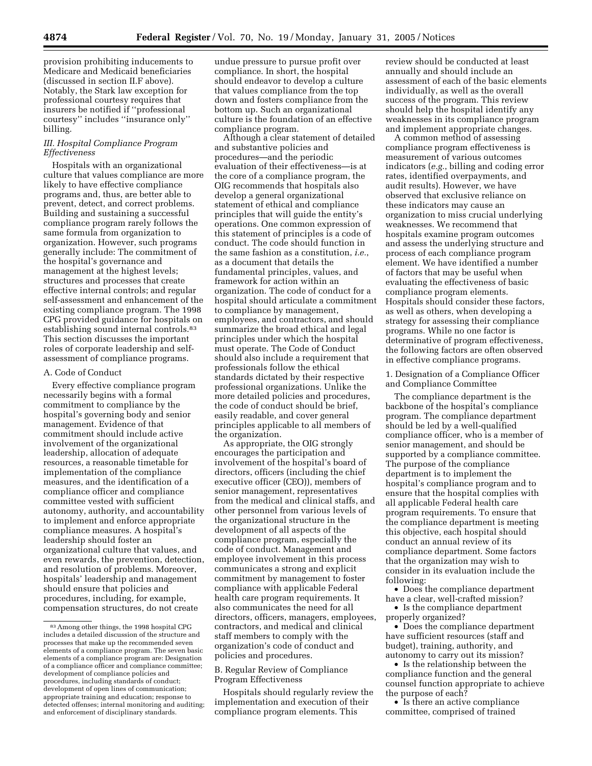provision prohibiting inducements to Medicare and Medicaid beneficiaries (discussed in section II.F above). Notably, the Stark law exception for professional courtesy requires that insurers be notified if ''professional courtesy'' includes ''insurance only'' billing.

# *III. Hospital Compliance Program Effectiveness*

Hospitals with an organizational culture that values compliance are more likely to have effective compliance programs and, thus, are better able to prevent, detect, and correct problems. Building and sustaining a successful compliance program rarely follows the same formula from organization to organization. However, such programs generally include: The commitment of the hospital's governance and management at the highest levels; structures and processes that create effective internal controls; and regular self-assessment and enhancement of the existing compliance program. The 1998 CPG provided guidance for hospitals on establishing sound internal controls.83 This section discusses the important roles of corporate leadership and selfassessment of compliance programs.

## A. Code of Conduct

Every effective compliance program necessarily begins with a formal commitment to compliance by the hospital's governing body and senior management. Evidence of that commitment should include active involvement of the organizational leadership, allocation of adequate resources, a reasonable timetable for implementation of the compliance measures, and the identification of a compliance officer and compliance committee vested with sufficient autonomy, authority, and accountability to implement and enforce appropriate compliance measures. A hospital's leadership should foster an organizational culture that values, and even rewards, the prevention, detection, and resolution of problems. Moreover, hospitals' leadership and management should ensure that policies and procedures, including, for example, compensation structures, do not create

undue pressure to pursue profit over compliance. In short, the hospital should endeavor to develop a culture that values compliance from the top down and fosters compliance from the bottom up. Such an organizational culture is the foundation of an effective compliance program.

Although a clear statement of detailed and substantive policies and procedures—and the periodic evaluation of their effectiveness—is at the core of a compliance program, the OIG recommends that hospitals also develop a general organizational statement of ethical and compliance principles that will guide the entity's operations. One common expression of this statement of principles is a code of conduct. The code should function in the same fashion as a constitution, *i.e.*, as a document that details the fundamental principles, values, and framework for action within an organization. The code of conduct for a hospital should articulate a commitment to compliance by management, employees, and contractors, and should summarize the broad ethical and legal principles under which the hospital must operate. The Code of Conduct should also include a requirement that professionals follow the ethical standards dictated by their respective professional organizations. Unlike the more detailed policies and procedures, the code of conduct should be brief, easily readable, and cover general principles applicable to all members of the organization.

As appropriate, the OIG strongly encourages the participation and involvement of the hospital's board of directors, officers (including the chief executive officer (CEO)), members of senior management, representatives from the medical and clinical staffs, and other personnel from various levels of the organizational structure in the development of all aspects of the compliance program, especially the code of conduct. Management and employee involvement in this process communicates a strong and explicit commitment by management to foster compliance with applicable Federal health care program requirements. It also communicates the need for all directors, officers, managers, employees, contractors, and medical and clinical staff members to comply with the organization's code of conduct and policies and procedures.

# B. Regular Review of Compliance Program Effectiveness

Hospitals should regularly review the implementation and execution of their compliance program elements. This

review should be conducted at least annually and should include an assessment of each of the basic elements individually, as well as the overall success of the program. This review should help the hospital identify any weaknesses in its compliance program and implement appropriate changes.

A common method of assessing compliance program effectiveness is measurement of various outcomes indicators (*e.g.*, billing and coding error rates, identified overpayments, and audit results). However, we have observed that exclusive reliance on these indicators may cause an organization to miss crucial underlying weaknesses. We recommend that hospitals examine program outcomes and assess the underlying structure and process of each compliance program element. We have identified a number of factors that may be useful when evaluating the effectiveness of basic compliance program elements. Hospitals should consider these factors, as well as others, when developing a strategy for assessing their compliance programs. While no one factor is determinative of program effectiveness, the following factors are often observed in effective compliance programs.

1. Designation of a Compliance Officer and Compliance Committee

The compliance department is the backbone of the hospital's compliance program. The compliance department should be led by a well-qualified compliance officer, who is a member of senior management, and should be supported by a compliance committee. The purpose of the compliance department is to implement the hospital's compliance program and to ensure that the hospital complies with all applicable Federal health care program requirements. To ensure that the compliance department is meeting this objective, each hospital should conduct an annual review of its compliance department. Some factors that the organization may wish to consider in its evaluation include the following:

• Does the compliance department have a clear, well-crafted mission?

• Is the compliance department properly organized?

• Does the compliance department have sufficient resources (staff and budget), training, authority, and autonomy to carry out its mission?

• Is the relationship between the compliance function and the general counsel function appropriate to achieve the purpose of each?

• Is there an active compliance committee, comprised of trained

<sup>83</sup>Among other things, the 1998 hospital CPG includes a detailed discussion of the structure and processes that make up the recommended seven elements of a compliance program. The seven basic elements of a compliance program are: Designation of a compliance officer and compliance committee; development of compliance policies and procedures, including standards of conduct; development of open lines of communication; appropriate training and education; response to detected offenses; internal monitoring and auditing; and enforcement of disciplinary standards.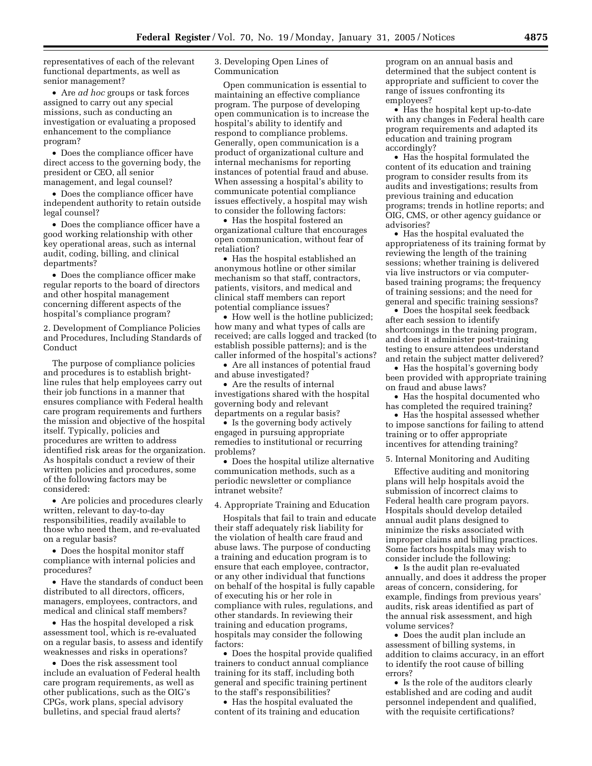representatives of each of the relevant functional departments, as well as senior management?

• Are *ad hoc* groups or task forces assigned to carry out any special missions, such as conducting an investigation or evaluating a proposed enhancement to the compliance program?

• Does the compliance officer have direct access to the governing body, the president or CEO, all senior management, and legal counsel?

• Does the compliance officer have independent authority to retain outside legal counsel?

• Does the compliance officer have a good working relationship with other key operational areas, such as internal audit, coding, billing, and clinical departments?

• Does the compliance officer make regular reports to the board of directors and other hospital management concerning different aspects of the hospital's compliance program?

2. Development of Compliance Policies and Procedures, Including Standards of Conduct

The purpose of compliance policies and procedures is to establish brightline rules that help employees carry out their job functions in a manner that ensures compliance with Federal health care program requirements and furthers the mission and objective of the hospital itself. Typically, policies and procedures are written to address identified risk areas for the organization. As hospitals conduct a review of their written policies and procedures, some of the following factors may be considered:

• Are policies and procedures clearly written, relevant to day-to-day responsibilities, readily available to those who need them, and re-evaluated on a regular basis?

• Does the hospital monitor staff compliance with internal policies and procedures?

• Have the standards of conduct been distributed to all directors, officers, managers, employees, contractors, and medical and clinical staff members?

• Has the hospital developed a risk assessment tool, which is re-evaluated on a regular basis, to assess and identify weaknesses and risks in operations?

• Does the risk assessment tool include an evaluation of Federal health care program requirements, as well as other publications, such as the OIG's CPGs, work plans, special advisory bulletins, and special fraud alerts?

# 3. Developing Open Lines of Communication

Open communication is essential to maintaining an effective compliance program. The purpose of developing open communication is to increase the hospital's ability to identify and respond to compliance problems. Generally, open communication is a product of organizational culture and internal mechanisms for reporting instances of potential fraud and abuse. When assessing a hospital's ability to communicate potential compliance issues effectively, a hospital may wish to consider the following factors:

• Has the hospital fostered an organizational culture that encourages open communication, without fear of retaliation?

• Has the hospital established an anonymous hotline or other similar mechanism so that staff, contractors, patients, visitors, and medical and clinical staff members can report potential compliance issues?

• How well is the hotline publicized; how many and what types of calls are received; are calls logged and tracked (to establish possible patterns); and is the caller informed of the hospital's actions?

• Are all instances of potential fraud and abuse investigated?

• Are the results of internal investigations shared with the hospital governing body and relevant departments on a regular basis?

• Is the governing body actively engaged in pursuing appropriate remedies to institutional or recurring problems?

• Does the hospital utilize alternative communication methods, such as a periodic newsletter or compliance intranet website?

4. Appropriate Training and Education

Hospitals that fail to train and educate their staff adequately risk liability for the violation of health care fraud and abuse laws. The purpose of conducting a training and education program is to ensure that each employee, contractor, or any other individual that functions on behalf of the hospital is fully capable of executing his or her role in compliance with rules, regulations, and other standards. In reviewing their training and education programs, hospitals may consider the following factors:

• Does the hospital provide qualified trainers to conduct annual compliance training for its staff, including both general and specific training pertinent to the staff's responsibilities?

• Has the hospital evaluated the content of its training and education

program on an annual basis and determined that the subject content is appropriate and sufficient to cover the range of issues confronting its employees?

• Has the hospital kept up-to-date with any changes in Federal health care program requirements and adapted its education and training program accordingly?

• Has the hospital formulated the content of its education and training program to consider results from its audits and investigations; results from previous training and education programs; trends in hotline reports; and OIG, CMS, or other agency guidance or advisories?

• Has the hospital evaluated the appropriateness of its training format by reviewing the length of the training sessions; whether training is delivered via live instructors or via computerbased training programs; the frequency of training sessions; and the need for general and specific training sessions?

• Does the hospital seek feedback after each session to identify shortcomings in the training program, and does it administer post-training testing to ensure attendees understand and retain the subject matter delivered?

• Has the hospital's governing body been provided with appropriate training on fraud and abuse laws?

• Has the hospital documented who has completed the required training?

• Has the hospital assessed whether to impose sanctions for failing to attend training or to offer appropriate incentives for attending training?

5. Internal Monitoring and Auditing

Effective auditing and monitoring plans will help hospitals avoid the submission of incorrect claims to Federal health care program payors. Hospitals should develop detailed annual audit plans designed to minimize the risks associated with improper claims and billing practices. Some factors hospitals may wish to consider include the following:

• Is the audit plan re-evaluated annually, and does it address the proper areas of concern, considering, for example, findings from previous years' audits, risk areas identified as part of the annual risk assessment, and high volume services?

• Does the audit plan include an assessment of billing systems, in addition to claims accuracy, in an effort to identify the root cause of billing errors?

• Is the role of the auditors clearly established and are coding and audit personnel independent and qualified, with the requisite certifications?